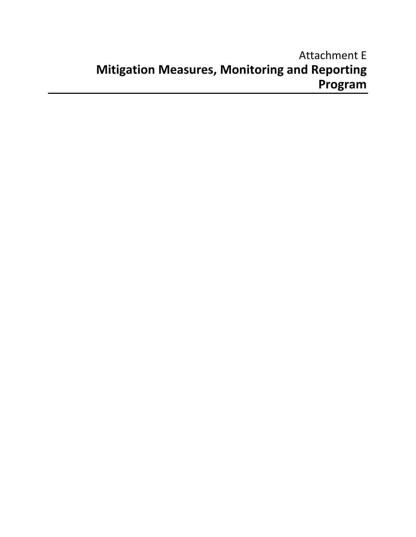# Attachment E **Mitigation Measures, Monitoring and Reporting Program**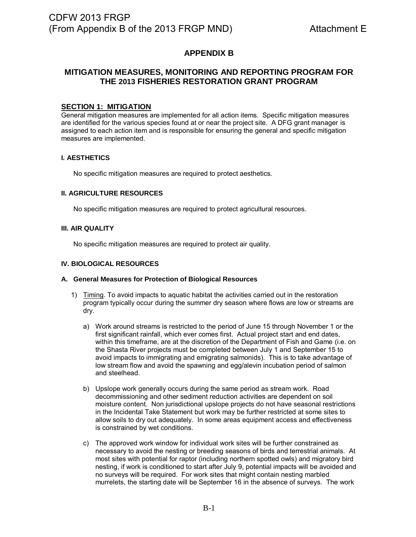# **APPENDIX B**

# **MITIGATION MEASURES, MONITORING AND REPORTING PROGRAM FOR THE 2013 FISHERIES RESTORATION GRANT PROGRAM**

### **SECTION 1: MITIGATION**

General mitigation measures are implemented for all action items. Specific mitigation measures are identified for the various species found at or near the project site. A DFG grant manager is assigned to each action item and is responsible for ensuring the general and specific mitigation measures are implemented.

### **I. AESTHETICS**

No specific mitigation measures are required to protect aesthetics.

#### **II. AGRICULTURE RESOURCES**

No specific mitigation measures are required to protect agricultural resources.

#### **III. AIR QUALITY**

No specific mitigation measures are required to protect air quality.

#### **IV. BIOLOGICAL RESOURCES**

#### **A. General Measures for Protection of Biological Resources**

- 1) Timing. To avoid impacts to aquatic habitat the activities carried out in the restoration program typically occur during the summer dry season where flows are low or streams are dry.
	- a) Work around streams is restricted to the period of June 15 through November 1 or the first significant rainfall, which ever comes first. Actual project start and end dates, within this timeframe, are at the discretion of the Department of Fish and Game (i.e. on the Shasta River projects must be completed between July 1 and September 15 to avoid impacts to immigrating and emigrating salmonids). This is to take advantage of low stream flow and avoid the spawning and egg/alevin incubation period of salmon and steelhead.
	- b) Upslope work generally occurs during the same period as stream work. Road decommissioning and other sediment reduction activities are dependent on soil moisture content. Non jurisdictional upslope projects do not have seasonal restrictions in the Incidental Take Statement but work may be further restricted at some sites to allow soils to dry out adequately. In some areas equipment access and effectiveness is constrained by wet conditions.
	- c) The approved work window for individual work sites will be further constrained as necessary to avoid the nesting or breeding seasons of birds and terrestrial animals. At most sites with potential for raptor (including northern spotted owls) and migratory bird nesting, if work is conditioned to start after July 9, potential impacts will be avoided and no surveys will be required. For work sites that might contain nesting marbled murrelets, the starting date will be September 16 in the absence of surveys. The work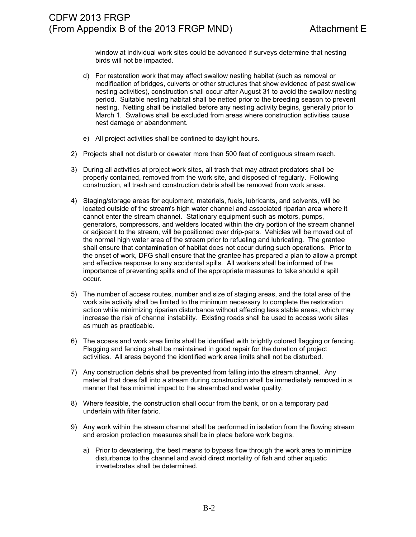window at individual work sites could be advanced if surveys determine that nesting birds will not be impacted.

- d) For restoration work that may affect swallow nesting habitat (such as removal or modification of bridges, culverts or other structures that show evidence of past swallow nesting activities), construction shall occur after August 31 to avoid the swallow nesting period. Suitable nesting habitat shall be netted prior to the breeding season to prevent nesting. Netting shall be installed before any nesting activity begins, generally prior to March 1. Swallows shall be excluded from areas where construction activities cause nest damage or abandonment.
- e) All project activities shall be confined to daylight hours.
- 2) Projects shall not disturb or dewater more than 500 feet of contiguous stream reach.
- 3) During all activities at project work sites, all trash that may attract predators shall be properly contained, removed from the work site, and disposed of regularly. Following construction, all trash and construction debris shall be removed from work areas.
- 4) Staging/storage areas for equipment, materials, fuels, lubricants, and solvents, will be located outside of the stream's high water channel and associated riparian area where it cannot enter the stream channel. Stationary equipment such as motors, pumps, generators, compressors, and welders located within the dry portion of the stream channel or adjacent to the stream, will be positioned over drip-pans. Vehicles will be moved out of the normal high water area of the stream prior to refueling and lubricating. The grantee shall ensure that contamination of habitat does not occur during such operations. Prior to the onset of work, DFG shall ensure that the grantee has prepared a plan to allow a prompt and effective response to any accidental spills. All workers shall be informed of the importance of preventing spills and of the appropriate measures to take should a spill occur.
- 5) The number of access routes, number and size of staging areas, and the total area of the work site activity shall be limited to the minimum necessary to complete the restoration action while minimizing riparian disturbance without affecting less stable areas, which may increase the risk of channel instability. Existing roads shall be used to access work sites as much as practicable.
- 6) The access and work area limits shall be identified with brightly colored flagging or fencing. Flagging and fencing shall be maintained in good repair for the duration of project activities. All areas beyond the identified work area limits shall not be disturbed.
- 7) Any construction debris shall be prevented from falling into the stream channel. Any material that does fall into a stream during construction shall be immediately removed in a manner that has minimal impact to the streambed and water quality.
- 8) Where feasible, the construction shall occur from the bank, or on a temporary pad underlain with filter fabric.
- 9) Any work within the stream channel shall be performed in isolation from the flowing stream and erosion protection measures shall be in place before work begins.
	- a) Prior to dewatering, the best means to bypass flow through the work area to minimize disturbance to the channel and avoid direct mortality of fish and other aquatic invertebrates shall be determined.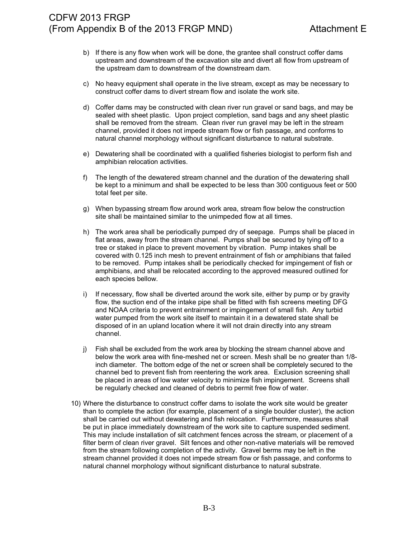- b) If there is any flow when work will be done, the grantee shall construct coffer dams upstream and downstream of the excavation site and divert all flow from upstream of the upstream dam to downstream of the downstream dam.
- c) No heavy equipment shall operate in the live stream, except as may be necessary to construct coffer dams to divert stream flow and isolate the work site.
- d) Coffer dams may be constructed with clean river run gravel or sand bags, and may be sealed with sheet plastic. Upon project completion, sand bags and any sheet plastic shall be removed from the stream. Clean river run gravel may be left in the stream channel, provided it does not impede stream flow or fish passage, and conforms to natural channel morphology without significant disturbance to natural substrate.
- e) Dewatering shall be coordinated with a qualified fisheries biologist to perform fish and amphibian relocation activities.
- f) The length of the dewatered stream channel and the duration of the dewatering shall be kept to a minimum and shall be expected to be less than 300 contiguous feet or 500 total feet per site.
- g) When bypassing stream flow around work area, stream flow below the construction site shall be maintained similar to the unimpeded flow at all times.
- h) The work area shall be periodically pumped dry of seepage. Pumps shall be placed in flat areas, away from the stream channel. Pumps shall be secured by tying off to a tree or staked in place to prevent movement by vibration. Pump intakes shall be covered with 0.125 inch mesh to prevent entrainment of fish or amphibians that failed to be removed. Pump intakes shall be periodically checked for impingement of fish or amphibians, and shall be relocated according to the approved measured outlined for each species bellow.
- i) If necessary, flow shall be diverted around the work site, either by pump or by gravity flow, the suction end of the intake pipe shall be fitted with fish screens meeting DFG and NOAA criteria to prevent entrainment or impingement of small fish. Any turbid water pumped from the work site itself to maintain it in a dewatered state shall be disposed of in an upland location where it will not drain directly into any stream channel.
- j) Fish shall be excluded from the work area by blocking the stream channel above and below the work area with fine-meshed net or screen. Mesh shall be no greater than 1/8 inch diameter. The bottom edge of the net or screen shall be completely secured to the channel bed to prevent fish from reentering the work area. Exclusion screening shall be placed in areas of low water velocity to minimize fish impingement. Screens shall be regularly checked and cleaned of debris to permit free flow of water.
- 10) Where the disturbance to construct coffer dams to isolate the work site would be greater than to complete the action (for example, placement of a single boulder cluster), the action shall be carried out without dewatering and fish relocation. Furthermore, measures shall be put in place immediately downstream of the work site to capture suspended sediment. This may include installation of silt catchment fences across the stream, or placement of a filter berm of clean river gravel. Silt fences and other non-native materials will be removed from the stream following completion of the activity. Gravel berms may be left in the stream channel provided it does not impede stream flow or fish passage, and conforms to natural channel morphology without significant disturbance to natural substrate.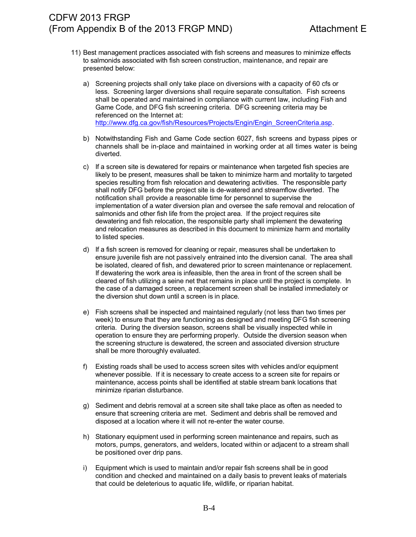- 11) Best management practices associated with fish screens and measures to minimize effects to salmonids associated with fish screen construction, maintenance, and repair are presented below:
	- a) Screening projects shall only take place on diversions with a capacity of 60 cfs or less. Screening larger diversions shall require separate consultation. Fish screens shall be operated and maintained in compliance with current law, including Fish and Game Code, and DFG fish screening criteria. DFG screening criteria may be referenced on the Internet at: [http://www.dfg.ca.gov/fish/Resources/Projects/Engin/Engin\\_ScreenCriteria.asp.](http://www.dfg.ca.gov/fish/Resources/Projects/Engin/Engin_ScreenCriteria.asp)
	- b) Notwithstanding Fish and Game Code section 6027, fish screens and bypass pipes or channels shall be in-place and maintained in working order at all times water is being diverted.
	- c) If a screen site is dewatered for repairs or maintenance when targeted fish species are likely to be present, measures shall be taken to minimize harm and mortality to targeted species resulting from fish relocation and dewatering activities. The responsible party shall notify DFG before the project site is de-watered and streamflow diverted. The notification shall provide a reasonable time for personnel to supervise the implementation of a water diversion plan and oversee the safe removal and relocation of salmonids and other fish life from the project area. If the project requires site dewatering and fish relocation, the responsible party shall implement the dewatering and relocation measures as described in this document to minimize harm and mortality to listed species.
	- d) If a fish screen is removed for cleaning or repair, measures shall be undertaken to ensure juvenile fish are not passively entrained into the diversion canal. The area shall be isolated, cleared of fish, and dewatered prior to screen maintenance or replacement. If dewatering the work area is infeasible, then the area in front of the screen shall be cleared of fish utilizing a seine net that remains in place until the project is complete. In the case of a damaged screen, a replacement screen shall be installed immediately or the diversion shut down until a screen is in place.
	- e) Fish screens shall be inspected and maintained regularly (not less than two times per week) to ensure that they are functioning as designed and meeting DFG fish screening criteria. During the diversion season, screens shall be visually inspected while in operation to ensure they are performing properly. Outside the diversion season when the screening structure is dewatered, the screen and associated diversion structure shall be more thoroughly evaluated.
	- f) Existing roads shall be used to access screen sites with vehicles and/or equipment whenever possible. If it is necessary to create access to a screen site for repairs or maintenance, access points shall be identified at stable stream bank locations that minimize riparian disturbance.
	- g) Sediment and debris removal at a screen site shall take place as often as needed to ensure that screening criteria are met. Sediment and debris shall be removed and disposed at a location where it will not re-enter the water course.
	- h) Stationary equipment used in performing screen maintenance and repairs, such as motors, pumps, generators, and welders, located within or adjacent to a stream shall be positioned over drip pans.
	- i) Equipment which is used to maintain and/or repair fish screens shall be in good condition and checked and maintained on a daily basis to prevent leaks of materials that could be deleterious to aquatic life, wildlife, or riparian habitat.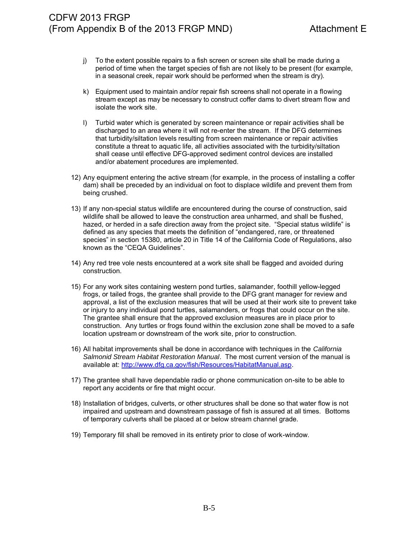- j) To the extent possible repairs to a fish screen or screen site shall be made during a period of time when the target species of fish are not likely to be present (for example, in a seasonal creek, repair work should be performed when the stream is dry).
- k) Equipment used to maintain and/or repair fish screens shall not operate in a flowing stream except as may be necessary to construct coffer dams to divert stream flow and isolate the work site.
- l) Turbid water which is generated by screen maintenance or repair activities shall be discharged to an area where it will not re-enter the stream. If the DFG determines that turbidity/siltation levels resulting from screen maintenance or repair activities constitute a threat to aquatic life, all activities associated with the turbidity/siltation shall cease until effective DFG-approved sediment control devices are installed and/or abatement procedures are implemented.
- 12) Any equipment entering the active stream (for example, in the process of installing a coffer dam) shall be preceded by an individual on foot to displace wildlife and prevent them from being crushed.
- 13) If any non-special status wildlife are encountered during the course of construction, said wildlife shall be allowed to leave the construction area unharmed, and shall be flushed, hazed, or herded in a safe direction away from the project site. "Special status wildlife" is defined as any species that meets the definition of "endangered, rare, or threatened species" in section 15380, article 20 in Title 14 of the California Code of Regulations, also known as the "CEQA Guidelines".
- 14) Any red tree vole nests encountered at a work site shall be flagged and avoided during construction.
- 15) For any work sites containing western pond turtles, salamander, foothill yellow-legged frogs, or tailed frogs, the grantee shall provide to the DFG grant manager for review and approval, a list of the exclusion measures that will be used at their work site to prevent take or injury to any individual pond turtles, salamanders, or frogs that could occur on the site. The grantee shall ensure that the approved exclusion measures are in place prior to construction. Any turtles or frogs found within the exclusion zone shall be moved to a safe location upstream or downstream of the work site, prior to construction.
- 16) All habitat improvements shall be done in accordance with techniques in the *California Salmonid Stream Habitat Restoration Manual*. The most current version of the manual is available at: [http://www.dfg.ca.gov/fish/Resources/HabitatManual.asp.](http://www.dfg.ca.gov/fish/Resources/HabitatManual.asp)
- 17) The grantee shall have dependable radio or phone communication on-site to be able to report any accidents or fire that might occur.
- 18) Installation of bridges, culverts, or other structures shall be done so that water flow is not impaired and upstream and downstream passage of fish is assured at all times. Bottoms of temporary culverts shall be placed at or below stream channel grade.
- 19) Temporary fill shall be removed in its entirety prior to close of work-window.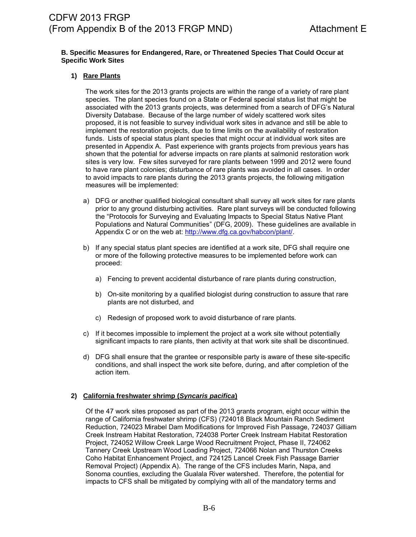#### **B. Specific Measures for Endangered, Rare, or Threatened Species That Could Occur at Specific Work Sites**

### **1) Rare Plants**

The work sites for the 2013 grants projects are within the range of a variety of rare plant species. The plant species found on a State or Federal special status list that might be associated with the 2013 grants projects, was determined from a search of DFG's Natural Diversity Database. Because of the large number of widely scattered work sites proposed, it is not feasible to survey individual work sites in advance and still be able to implement the restoration projects, due to time limits on the availability of restoration funds. Lists of special status plant species that might occur at individual work sites are presented in Appendix A. Past experience with grants projects from previous years has shown that the potential for adverse impacts on rare plants at salmonid restoration work sites is very low. Few sites surveyed for rare plants between 1999 and 2012 were found to have rare plant colonies; disturbance of rare plants was avoided in all cases. In order to avoid impacts to rare plants during the 2013 grants projects, the following mitigation measures will be implemented:

- a) DFG or another qualified biological consultant shall survey all work sites for rare plants prior to any ground disturbing activities. Rare plant surveys will be conducted following the "Protocols for Surveying and Evaluating Impacts to Special Status Native Plant Populations and Natural Communities" (DFG, 2009). These guidelines are available in Appendix C or on the web at: [http://www.dfg.ca.gov/habcon/plant/.](http://www.dfg.ca.gov/habcon/plant/)
- b) If any special status plant species are identified at a work site, DFG shall require one or more of the following protective measures to be implemented before work can proceed:
	- a) Fencing to prevent accidental disturbance of rare plants during construction,
	- b) On-site monitoring by a qualified biologist during construction to assure that rare plants are not disturbed, and
	- c) Redesign of proposed work to avoid disturbance of rare plants.
- c) If it becomes impossible to implement the project at a work site without potentially significant impacts to rare plants, then activity at that work site shall be discontinued.
- d) DFG shall ensure that the grantee or responsible party is aware of these site-specific conditions, and shall inspect the work site before, during, and after completion of the action item.

### **2) California freshwater shrimp (***Syncaris pacifica***)**

Of the 47 work sites proposed as part of the 2013 grants program, eight occur within the range of California freshwater shrimp (CFS) (724018 Black Mountain Ranch Sediment Reduction, 724023 Mirabel Dam Modifications for Improved Fish Passage, 724037 Gilliam Creek Instream Habitat Restoration, 724038 Porter Creek Instream Habitat Restoration Project, 724052 Willow Creek Large Wood Recruitment Project, Phase II, 724062 Tannery Creek Upstream Wood Loading Project, 724066 Nolan and Thurston Creeks Coho Habitat Enhancement Project, and 724125 Lancel Creek Fish Passage Barrier Removal Project) (Appendix A). The range of the CFS includes Marin, Napa, and Sonoma counties, excluding the Gualala River watershed. Therefore, the potential for impacts to CFS shall be mitigated by complying with all of the mandatory terms and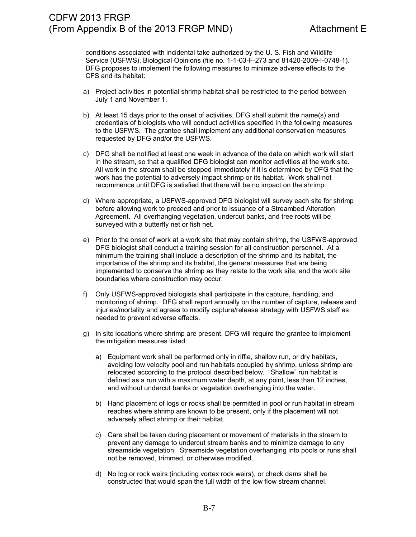conditions associated with incidental take authorized by the U. S. Fish and Wildlife Service (USFWS), Biological Opinions (file no. 1-1-03-F-273 and 81420-2009-I-0748-1). DFG proposes to implement the following measures to minimize adverse effects to the CFS and its habitat:

- a) Project activities in potential shrimp habitat shall be restricted to the period between July 1 and November 1.
- b) At least 15 days prior to the onset of activities, DFG shall submit the name(s) and credentials of biologists who will conduct activities specified in the following measures to the USFWS. The grantee shall implement any additional conservation measures requested by DFG and/or the USFWS.
- c) DFG shall be notified at least one week in advance of the date on which work will start in the stream, so that a qualified DFG biologist can monitor activities at the work site. All work in the stream shall be stopped immediately if it is determined by DFG that the work has the potential to adversely impact shrimp or its habitat. Work shall not recommence until DFG is satisfied that there will be no impact on the shrimp.
- d) Where appropriate, a USFWS-approved DFG biologist will survey each site for shrimp before allowing work to proceed and prior to issuance of a Streambed Alteration Agreement. All overhanging vegetation, undercut banks, and tree roots will be surveyed with a butterfly net or fish net.
- e) Prior to the onset of work at a work site that may contain shrimp, the USFWS-approved DFG biologist shall conduct a training session for all construction personnel. At a minimum the training shall include a description of the shrimp and its habitat, the importance of the shrimp and its habitat, the general measures that are being implemented to conserve the shrimp as they relate to the work site, and the work site boundaries where construction may occur.
- f) Only USFWS-approved biologists shall participate in the capture, handling, and monitoring of shrimp. DFG shall report annually on the number of capture, release and injuries/mortality and agrees to modify capture/release strategy with USFWS staff as needed to prevent adverse effects.
- g) In site locations where shrimp are present, DFG will require the grantee to implement the mitigation measures listed:
	- a) Equipment work shall be performed only in riffle, shallow run, or dry habitats, avoiding low velocity pool and run habitats occupied by shrimp, unless shrimp are relocated according to the protocol described below. "Shallow" run habitat is defined as a run with a maximum water depth, at any point, less than 12 inches, and without undercut banks or vegetation overhanging into the water.
	- b) Hand placement of logs or rocks shall be permitted in pool or run habitat in stream reaches where shrimp are known to be present, only if the placement will not adversely affect shrimp or their habitat.
	- c) Care shall be taken during placement or movement of materials in the stream to prevent any damage to undercut stream banks and to minimize damage to any streamside vegetation. Streamside vegetation overhanging into pools or runs shall not be removed, trimmed, or otherwise modified.
	- d) No log or rock weirs (including vortex rock weirs), or check dams shall be constructed that would span the full width of the low flow stream channel.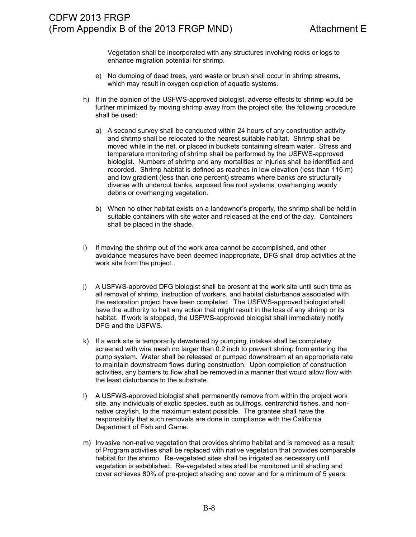Vegetation shall be incorporated with any structures involving rocks or logs to enhance migration potential for shrimp.

- e) No dumping of dead trees, yard waste or brush shall occur in shrimp streams, which may result in oxygen depletion of aquatic systems.
- h) If in the opinion of the USFWS-approved biologist, adverse effects to shrimp would be further minimized by moving shrimp away from the project site, the following procedure shall be used:
	- a) A second survey shall be conducted within 24 hours of any construction activity and shrimp shall be relocated to the nearest suitable habitat. Shrimp shall be moved while in the net, or placed in buckets containing stream water. Stress and temperature monitoring of shrimp shall be performed by the USFWS-approved biologist. Numbers of shrimp and any mortalities or injuries shall be identified and recorded. Shrimp habitat is defined as reaches in low elevation (less than 116 m) and low gradient (less than one percent) streams where banks are structurally diverse with undercut banks, exposed fine root systems, overhanging woody debris or overhanging vegetation.
	- b) When no other habitat exists on a landowner's property, the shrimp shall be held in suitable containers with site water and released at the end of the day. Containers shall be placed in the shade.
- i) If moving the shrimp out of the work area cannot be accomplished, and other avoidance measures have been deemed inappropriate, DFG shall drop activities at the work site from the project.
- j) A USFWS-approved DFG biologist shall be present at the work site until such time as all removal of shrimp, instruction of workers, and habitat disturbance associated with the restoration project have been completed. The USFWS-approved biologist shall have the authority to halt any action that might result in the loss of any shrimp or its habitat. If work is stopped, the USFWS-approved biologist shall immediately notify DFG and the USFWS.
- k) If a work site is temporarily dewatered by pumping, intakes shall be completely screened with wire mesh no larger than 0.2 inch to prevent shrimp from entering the pump system. Water shall be released or pumped downstream at an appropriate rate to maintain downstream flows during construction. Upon completion of construction activities, any barriers to flow shall be removed in a manner that would allow flow with the least disturbance to the substrate.
- l) A USFWS-approved biologist shall permanently remove from within the project work site, any individuals of exotic species, such as bullfrogs, centrarchid fishes, and nonnative crayfish, to the maximum extent possible. The grantee shall have the responsibility that such removals are done in compliance with the California Department of Fish and Game.
- m) Invasive non-native vegetation that provides shrimp habitat and is removed as a result of Program activities shall be replaced with native vegetation that provides comparable habitat for the shrimp. Re-vegetated sites shall be irrigated as necessary until vegetation is established. Re-vegetated sites shall be monitored until shading and cover achieves 80% of pre-project shading and cover and for a minimum of 5 years.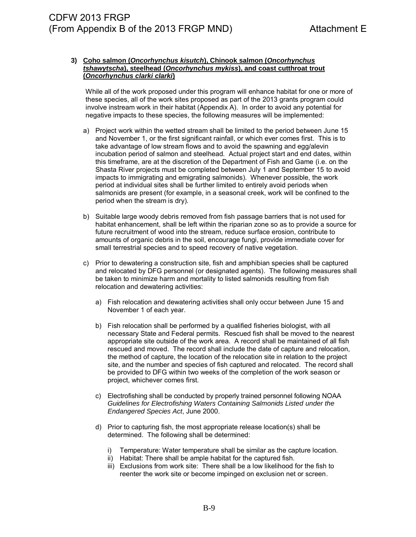#### **3) Coho salmon (***Oncorhynchus kisutch***), Chinook salmon (***Oncorhynchus tshawytscha***), steelhead (***Oncorhynchus mykiss***), and coast cutthroat trout (***Oncorhynchus clarki clarki***)**

While all of the work proposed under this program will enhance habitat for one or more of these species, all of the work sites proposed as part of the 2013 grants program could involve instream work in their habitat (Appendix A). In order to avoid any potential for negative impacts to these species, the following measures will be implemented:

- a) Project work within the wetted stream shall be limited to the period between June 15 and November 1, or the first significant rainfall, or which ever comes first. This is to take advantage of low stream flows and to avoid the spawning and egg/alevin incubation period of salmon and steelhead. Actual project start and end dates, within this timeframe, are at the discretion of the Department of Fish and Game (i.e. on the Shasta River projects must be completed between July 1 and September 15 to avoid impacts to immigrating and emigrating salmonids). Whenever possible, the work period at individual sites shall be further limited to entirely avoid periods when salmonids are present (for example, in a seasonal creek, work will be confined to the period when the stream is dry).
- b) Suitable large woody debris removed from fish passage barriers that is not used for habitat enhancement, shall be left within the riparian zone so as to provide a source for future recruitment of wood into the stream, reduce surface erosion, contribute to amounts of organic debris in the soil, encourage fungi, provide immediate cover for small terrestrial species and to speed recovery of native vegetation.
- c) Prior to dewatering a construction site, fish and amphibian species shall be captured and relocated by DFG personnel (or designated agents). The following measures shall be taken to minimize harm and mortality to listed salmonids resulting from fish relocation and dewatering activities:
	- a) Fish relocation and dewatering activities shall only occur between June 15 and November 1 of each year.
	- b) Fish relocation shall be performed by a qualified fisheries biologist, with all necessary State and Federal permits. Rescued fish shall be moved to the nearest appropriate site outside of the work area. A record shall be maintained of all fish rescued and moved. The record shall include the date of capture and relocation, the method of capture, the location of the relocation site in relation to the project site, and the number and species of fish captured and relocated. The record shall be provided to DFG within two weeks of the completion of the work season or project, whichever comes first.
	- c) Electrofishing shall be conducted by properly trained personnel following NOAA *Guidelines for Electrofishing Waters Containing Salmonids Listed under the Endangered Species Act*, June 2000.
	- d) Prior to capturing fish, the most appropriate release location(s) shall be determined. The following shall be determined:
		- i) Temperature: Water temperature shall be similar as the capture location.
		- ii) Habitat: There shall be ample habitat for the captured fish.
		- iii) Exclusions from work site: There shall be a low likelihood for the fish to reenter the work site or become impinged on exclusion net or screen.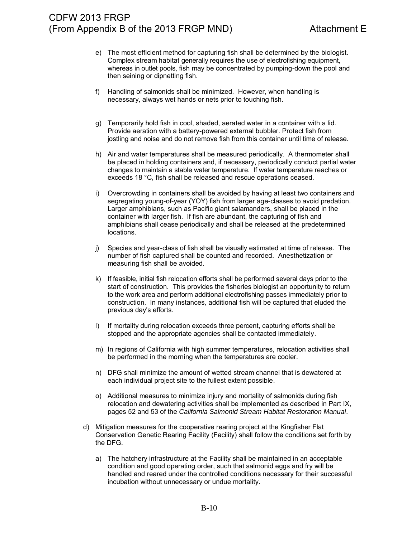- e) The most efficient method for capturing fish shall be determined by the biologist. Complex stream habitat generally requires the use of electrofishing equipment, whereas in outlet pools, fish may be concentrated by pumping-down the pool and then seining or dipnetting fish.
- f) Handling of salmonids shall be minimized. However, when handling is necessary, always wet hands or nets prior to touching fish.
- g) Temporarily hold fish in cool, shaded, aerated water in a container with a lid. Provide aeration with a battery-powered external bubbler. Protect fish from jostling and noise and do not remove fish from this container until time of release.
- h) Air and water temperatures shall be measured periodically. A thermometer shall be placed in holding containers and, if necessary, periodically conduct partial water changes to maintain a stable water temperature. If water temperature reaches or exceeds 18 °C, fish shall be released and rescue operations ceased.
- i) Overcrowding in containers shall be avoided by having at least two containers and segregating young-of-year (YOY) fish from larger age-classes to avoid predation. Larger amphibians, such as Pacific giant salamanders, shall be placed in the container with larger fish. If fish are abundant, the capturing of fish and amphibians shall cease periodically and shall be released at the predetermined locations.
- j) Species and year-class of fish shall be visually estimated at time of release. The number of fish captured shall be counted and recorded. Anesthetization or measuring fish shall be avoided.
- k) If feasible, initial fish relocation efforts shall be performed several days prior to the start of construction. This provides the fisheries biologist an opportunity to return to the work area and perform additional electrofishing passes immediately prior to construction. In many instances, additional fish will be captured that eluded the previous day's efforts.
- l) If mortality during relocation exceeds three percent, capturing efforts shall be stopped and the appropriate agencies shall be contacted immediately.
- m) In regions of California with high summer temperatures, relocation activities shall be performed in the morning when the temperatures are cooler.
- n) DFG shall minimize the amount of wetted stream channel that is dewatered at each individual project site to the fullest extent possible.
- o) Additional measures to minimize injury and mortality of salmonids during fish relocation and dewatering activities shall be implemented as described in Part IX, pages 52 and 53 of the *California Salmonid Stream Habitat Restoration Manual*.
- d) Mitigation measures for the cooperative rearing project at the Kingfisher Flat Conservation Genetic Rearing Facility (Facility) shall follow the conditions set forth by the DFG.
	- a) The hatchery infrastructure at the Facility shall be maintained in an acceptable condition and good operating order, such that salmonid eggs and fry will be handled and reared under the controlled conditions necessary for their successful incubation without unnecessary or undue mortality.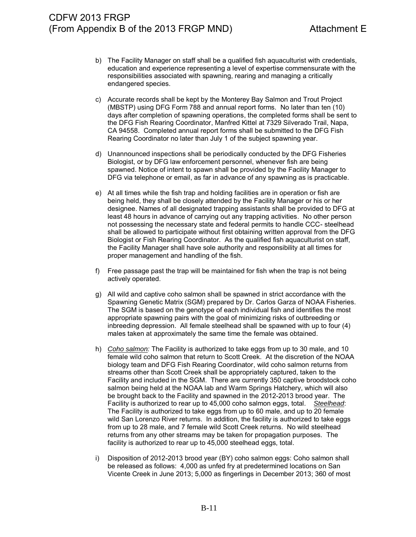- b) The Facility Manager on staff shall be a qualified fish aquaculturist with credentials, education and experience representing a level of expertise commensurate with the responsibilities associated with spawning, rearing and managing a critically endangered species.
- c) Accurate records shall be kept by the Monterey Bay Salmon and Trout Project (MBSTP) using DFG Form 788 and annual report forms. No later than ten (10) days after completion of spawning operations, the completed forms shall be sent to the DFG Fish Rearing Coordinator, Manfred Kittel at 7329 Silverado Trail, Napa, CA 94558. Completed annual report forms shall be submitted to the DFG Fish Rearing Coordinator no later than July 1 of the subject spawning year.
- d) Unannounced inspections shall be periodically conducted by the DFG Fisheries Biologist, or by DFG law enforcement personnel, whenever fish are being spawned. Notice of intent to spawn shall be provided by the Facility Manager to DFG via telephone or email, as far in advance of any spawning as is practicable.
- e) At all times while the fish trap and holding facilities are in operation or fish are being held, they shall be closely attended by the Facility Manager or his or her designee. Names of all designated trapping assistants shall be provided to DFG at least 48 hours in advance of carrying out any trapping activities. No other person not possessing the necessary state and federal permits to handle CCC- steelhead shall be allowed to participate without first obtaining written approval from the DFG Biologist or Fish Rearing Coordinator. As the qualified fish aquaculturist on staff, the Facility Manager shall have sole authority and responsibility at all times for proper management and handling of the fish.
- f) Free passage past the trap will be maintained for fish when the trap is not being actively operated.
- g) All wild and captive coho salmon shall be spawned in strict accordance with the Spawning Genetic Matrix (SGM) prepared by Dr. Carlos Garza of NOAA Fisheries. The SGM is based on the genotype of each individual fish and identifies the most appropriate spawning pairs with the goal of minimizing risks of outbreeding or inbreeding depression. All female steelhead shall be spawned with up to four (4) males taken at approximately the same time the female was obtained.
- h) *Coho salmon:* The Facility is authorized to take eggs from up to 30 male, and 10 female wild coho salmon that return to Scott Creek. At the discretion of the NOAA biology team and DFG Fish Rearing Coordinator, wild coho salmon returns from streams other than Scott Creek shall be appropriately captured, taken to the Facility and included in the SGM. There are currently 350 captive broodstock coho salmon being held at the NOAA lab and Warm Springs Hatchery, which will also be brought back to the Facility and spawned in the 2012-2013 brood year. The Facility is authorized to rear up to 45,000 coho salmon eggs, total. *Steelhead*: The Facility is authorized to take eggs from up to 60 male, and up to 20 female wild San Lorenzo River returns. In addition, the facility is authorized to take eggs from up to 28 male, and 7 female wild Scott Creek returns. No wild steelhead returns from any other streams may be taken for propagation purposes. The facility is authorized to rear up to 45,000 steelhead eggs, total.
- i) Disposition of 2012-2013 brood year (BY) coho salmon eggs: Coho salmon shall be released as follows: 4,000 as unfed fry at predetermined locations on San Vicente Creek in June 2013; 5,000 as fingerlings in December 2013; 360 of most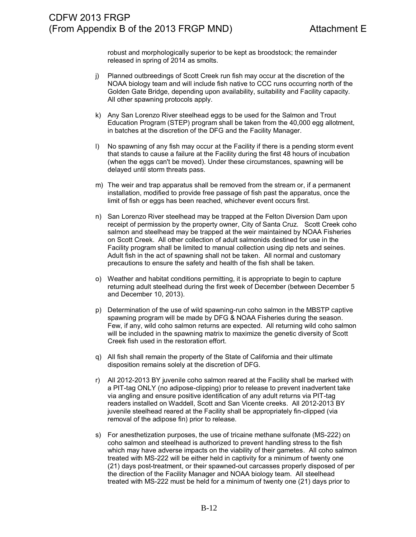robust and morphologically superior to be kept as broodstock; the remainder released in spring of 2014 as smolts.

- j) Planned outbreedings of Scott Creek run fish may occur at the discretion of the NOAA biology team and will include fish native to CCC runs occurring north of the Golden Gate Bridge, depending upon availability, suitability and Facility capacity. All other spawning protocols apply.
- k) Any San Lorenzo River steelhead eggs to be used for the Salmon and Trout Education Program (STEP) program shall be taken from the 40,000 egg allotment, in batches at the discretion of the DFG and the Facility Manager.
- l) No spawning of any fish may occur at the Facility if there is a pending storm event that stands to cause a failure at the Facility during the first 48 hours of incubation (when the eggs can't be moved). Under these circumstances, spawning will be delayed until storm threats pass.
- m) The weir and trap apparatus shall be removed from the stream or, if a permanent installation, modified to provide free passage of fish past the apparatus, once the limit of fish or eggs has been reached, whichever event occurs first.
- n) San Lorenzo River steelhead may be trapped at the Felton Diversion Dam upon receipt of permission by the property owner, City of Santa Cruz. Scott Creek coho salmon and steelhead may be trapped at the weir maintained by NOAA Fisheries on Scott Creek. All other collection of adult salmonids destined for use in the Facility program shall be limited to manual collection using dip nets and seines. Adult fish in the act of spawning shall not be taken. All normal and customary precautions to ensure the safety and health of the fish shall be taken.
- o) Weather and habitat conditions permitting, it is appropriate to begin to capture returning adult steelhead during the first week of December (between December 5 and December 10, 2013).
- p) Determination of the use of wild spawning-run coho salmon in the MBSTP captive spawning program will be made by DFG & NOAA Fisheries during the season. Few, if any, wild coho salmon returns are expected. All returning wild coho salmon will be included in the spawning matrix to maximize the genetic diversity of Scott Creek fish used in the restoration effort.
- q) All fish shall remain the property of the State of California and their ultimate disposition remains solely at the discretion of DFG.
- r) All 2012-2013 BY juvenile coho salmon reared at the Facility shall be marked with a PIT-tag ONLY (no adipose-clipping) prior to release to prevent inadvertent take via angling and ensure positive identification of any adult returns via PIT-tag readers installed on Waddell, Scott and San Vicente creeks. All 2012-2013 BY juvenile steelhead reared at the Facility shall be appropriately fin-clipped (via removal of the adipose fin) prior to release.
- s) For anesthetization purposes, the use of tricaine methane sulfonate (MS-222) on coho salmon and steelhead is authorized to prevent handling stress to the fish which may have adverse impacts on the viability of their gametes. All coho salmon treated with MS-222 will be either held in captivity for a minimum of twenty one (21) days post-treatment, or their spawned-out carcasses properly disposed of per the direction of the Facility Manager and NOAA biology team. All steelhead treated with MS-222 must be held for a minimum of twenty one (21) days prior to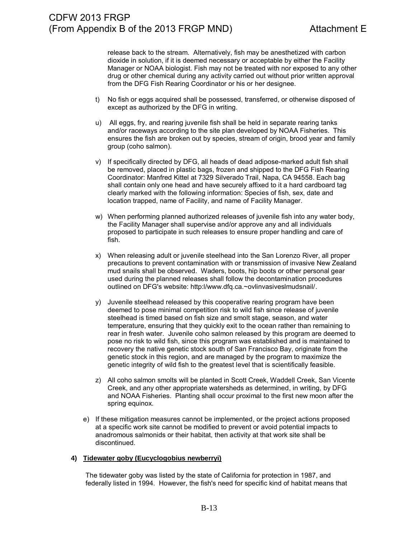release back to the stream. Alternatively, fish may be anesthetized with carbon dioxide in solution, if it is deemed necessary or acceptable by either the Facility Manager or NOAA biologist. Fish may not be treated with nor exposed to any other drug or other chemical during any activity carried out without prior written approval from the DFG Fish Rearing Coordinator or his or her designee.

- t) No fish or eggs acquired shall be possessed, transferred, or otherwise disposed of except as authorized by the DFG in writing.
- u) All eggs, fry, and rearing juvenile fish shall be held in separate rearing tanks and/or raceways according to the site plan developed by NOAA Fisheries. This ensures the fish are broken out by species, stream of origin, brood year and family group (coho salmon).
- v) If specifically directed by DFG, all heads of dead adipose-marked adult fish shall be removed, placed in plastic bags, frozen and shipped to the DFG Fish Rearing Coordinator: Manfred Kittel at 7329 Silverado Trail, Napa, CA 94558. Each bag shall contain only one head and have securely affixed to it a hard cardboard tag clearly marked with the following information: Species of fish, sex, date and location trapped, name of Facility, and name of Facility Manager.
- w) When performing planned authorized releases of juvenile fish into any water body, the Facility Manager shall supervise and/or approve any and all individuals proposed to participate in such releases to ensure proper handling and care of fish.
- x) When releasing adult or juvenile steelhead into the San Lorenzo River, all proper precautions to prevent contamination with or transmission of invasive New Zealand mud snails shall be observed. Waders, boots, hip boots or other personal gear used during the planned releases shall follow the decontamination procedures outlined on DFG's website: http:l/www.dfq.ca.~ovlinvasiveslmudsnail/.
- y) Juvenile steelhead released by this cooperative rearing program have been deemed to pose minimal competition risk to wild fish since release of juvenile steelhead is timed based on fish size and smolt stage, season, and water temperature, ensuring that they quickly exit to the ocean rather than remaining to rear in fresh water. Juvenile coho salmon released by this program are deemed to pose no risk to wild fish, since this program was established and is maintained to recovery the native genetic stock south of San Francisco Bay, originate from the genetic stock in this region, and are managed by the program to maximize the genetic integrity of wild fish to the greatest level that is scientifically feasible.
- z) All coho salmon smolts will be planted in Scott Creek, Waddell Creek, San Vicente Creek, and any other appropriate watersheds as determined, in writing, by DFG and NOAA Fisheries. Planting shall occur proximal to the first new moon after the spring equinox.
- e) If these mitigation measures cannot be implemented, or the project actions proposed at a specific work site cannot be modified to prevent or avoid potential impacts to anadromous salmonids or their habitat, then activity at that work site shall be discontinued.

### **4) Tidewater goby (Eucyclogobius newberryi)**

The tidewater goby was listed by the state of California for protection in 1987, and federally listed in 1994. However, the fish's need for specific kind of habitat means that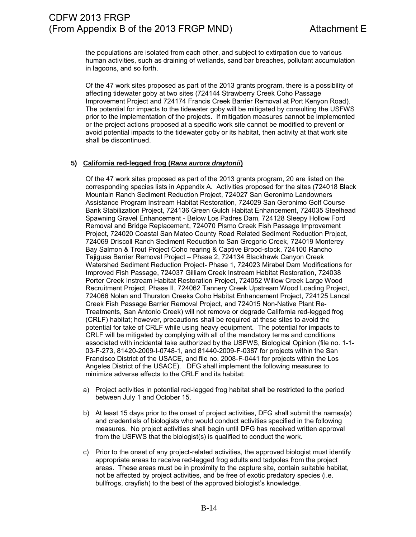the populations are isolated from each other, and subject to extirpation due to various human activities, such as draining of wetlands, sand bar breaches, pollutant accumulation in lagoons, and so forth.

Of the 47 work sites proposed as part of the 2013 grants program, there is a possibility of affecting tidewater goby at two sites (724144 Strawberry Creek Coho Passage Improvement Project and 724174 Francis Creek Barrier Removal at Port Kenyon Road). The potential for impacts to the tidewater goby will be mitigated by consulting the USFWS prior to the implementation of the projects. If mitigation measures cannot be implemented or the project actions proposed at a specific work site cannot be modified to prevent or avoid potential impacts to the tidewater goby or its habitat, then activity at that work site shall be discontinued.

### **5) California red-legged frog (***Rana aurora draytonii***)**

Of the 47 work sites proposed as part of the 2013 grants program, 20 are listed on the corresponding species lists in Appendix A. Activities proposed for the sites (724018 Black Mountain Ranch Sediment Reduction Project, 724027 San Geronimo Landowners Assistance Program Instream Habitat Restoration, 724029 San Geronimo Golf Course Bank Stabilization Project, 724136 Green Gulch Habitat Enhancement, 724035 Steelhead Spawning Gravel Enhancement - Below Los Padres Dam, 724128 Sleepy Hollow Ford Removal and Bridge Replacement, 724070 Pismo Creek Fish Passage Improvement Project, 724020 Coastal San Mateo County Road Related Sediment Reduction Project, 724069 Driscoll Ranch Sediment Reduction to San Gregorio Creek, 724019 Monterey Bay Salmon & Trout Project Coho rearing & Captive Brood-stock, 724100 Rancho Tajiguas Barrier Removal Project – Phase 2, 724134 Blackhawk Canyon Creek Watershed Sediment Reduction Project- Phase 1, 724023 Mirabel Dam Modifications for Improved Fish Passage, 724037 Gilliam Creek Instream Habitat Restoration, 724038 Porter Creek Instream Habitat Restoration Project, 724052 Willow Creek Large Wood Recruitment Project, Phase II, 724062 Tannery Creek Upstream Wood Loading Project, 724066 Nolan and Thurston Creeks Coho Habitat Enhancement Project, 724125 Lancel Creek Fish Passage Barrier Removal Project, and 724015 Non-Native Plant Re-Treatments, San Antonio Creek) will not remove or degrade California red-legged frog (CRLF) habitat; however, precautions shall be required at these sites to avoid the potential for take of CRLF while using heavy equipment. The potential for impacts to CRLF will be mitigated by complying with all of the mandatory terms and conditions associated with incidental take authorized by the USFWS, Biological Opinion (file no. 1-1- 03-F-273, 81420-2009-I-0748-1, and 81440-2009-F-0387 for projects within the San Francisco District of the USACE, and file no. 2008-F-0441 for projects within the Los Angeles District of the USACE). DFG shall implement the following measures to minimize adverse effects to the CRLF and its habitat:

- a) Project activities in potential red-legged frog habitat shall be restricted to the period between July 1 and October 15.
- b) At least 15 days prior to the onset of project activities, DFG shall submit the names(s) and credentials of biologists who would conduct activities specified in the following measures. No project activities shall begin until DFG has received written approval from the USFWS that the biologist(s) is qualified to conduct the work.
- c) Prior to the onset of any project-related activities, the approved biologist must identify appropriate areas to receive red-legged frog adults and tadpoles from the project areas. These areas must be in proximity to the capture site, contain suitable habitat, not be affected by project activities, and be free of exotic predatory species (i.e. bullfrogs, crayfish) to the best of the approved biologist's knowledge.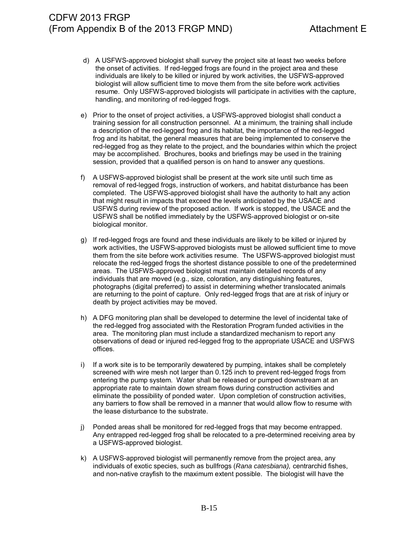- d) A USFWS-approved biologist shall survey the project site at least two weeks before the onset of activities. If red-legged frogs are found in the project area and these individuals are likely to be killed or injured by work activities, the USFWS-approved biologist will allow sufficient time to move them from the site before work activities resume. Only USFWS-approved biologists will participate in activities with the capture, handling, and monitoring of red-legged frogs.
- e) Prior to the onset of project activities, a USFWS-approved biologist shall conduct a training session for all construction personnel. At a minimum, the training shall include a description of the red-legged frog and its habitat, the importance of the red-legged frog and its habitat, the general measures that are being implemented to conserve the red-legged frog as they relate to the project, and the boundaries within which the project may be accomplished. Brochures, books and briefings may be used in the training session, provided that a qualified person is on hand to answer any questions.
- f) A USFWS-approved biologist shall be present at the work site until such time as removal of red-legged frogs, instruction of workers, and habitat disturbance has been completed. The USFWS-approved biologist shall have the authority to halt any action that might result in impacts that exceed the levels anticipated by the USACE and USFWS during review of the proposed action. If work is stopped, the USACE and the USFWS shall be notified immediately by the USFWS-approved biologist or on-site biological monitor.
- g) If red-legged frogs are found and these individuals are likely to be killed or injured by work activities, the USFWS-approved biologists must be allowed sufficient time to move them from the site before work activities resume. The USFWS-approved biologist must relocate the red-legged frogs the shortest distance possible to one of the predetermined areas. The USFWS-approved biologist must maintain detailed records of any individuals that are moved (e.g., size, coloration, any distinguishing features, photographs (digital preferred) to assist in determining whether translocated animals are returning to the point of capture. Only red-legged frogs that are at risk of injury or death by project activities may be moved.
- h) A DFG monitoring plan shall be developed to determine the level of incidental take of the red-legged frog associated with the Restoration Program funded activities in the area. The monitoring plan must include a standardized mechanism to report any observations of dead or injured red-legged frog to the appropriate USACE and USFWS offices.
- i) If a work site is to be temporarily dewatered by pumping, intakes shall be completely screened with wire mesh not larger than 0.125 inch to prevent red-legged frogs from entering the pump system. Water shall be released or pumped downstream at an appropriate rate to maintain down stream flows during construction activities and eliminate the possibility of ponded water. Upon completion of construction activities, any barriers to flow shall be removed in a manner that would allow flow to resume with the lease disturbance to the substrate.
- j) Ponded areas shall be monitored for red-legged frogs that may become entrapped. Any entrapped red-legged frog shall be relocated to a pre-determined receiving area by a USFWS-approved biologist.
- k) A USFWS-approved biologist will permanently remove from the project area, any individuals of exotic species, such as bullfrogs (*Rana catesbiana),* centrarchid fishes, and non-native crayfish to the maximum extent possible. The biologist will have the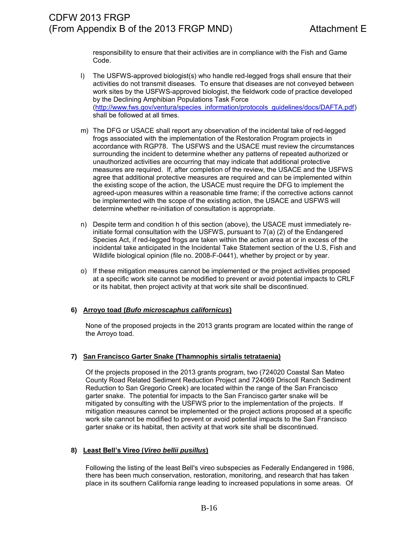responsibility to ensure that their activities are in compliance with the Fish and Game Code.

- l) The USFWS-approved biologist(s) who handle red-legged frogs shall ensure that their activities do not transmit diseases. To ensure that diseases are not conveyed between work sites by the USFWS-approved biologist, the fieldwork code of practice developed by the Declining Amphibian Populations Task Force [\(http://www.fws.gov/ventura/species\\_information/protocols\\_guidelines/docs/DAFTA.pdf\)](http://www.fws.gov/ventura/species_information/protocols_guidelines/docs/DAFTA.pdf) shall be followed at all times.
- m) The DFG or USACE shall report any observation of the incidental take of red-legged frogs associated with the implementation of the Restoration Program projects in accordance with RGP78. The USFWS and the USACE must review the circumstances surrounding the incident to determine whether any patterns of repeated authorized or unauthorized activities are occurring that may indicate that additional protective measures are required. If, after completion of the review, the USACE and the USFWS agree that additional protective measures are required and can be implemented within the existing scope of the action, the USACE must require the DFG to implement the agreed-upon measures within a reasonable time frame; if the corrective actions cannot be implemented with the scope of the existing action, the USACE and USFWS will determine whether re-initiation of consultation is appropriate.
- n) Despite term and condition h of this section (above), the USACE must immediately reinitiate formal consultation with the USFWS, pursuant to 7(a) (2) of the Endangered Species Act, if red-legged frogs are taken within the action area at or in excess of the incidental take anticipated in the Incidental Take Statement section of the U.S, Fish and Wildlife biological opinion (file no. 2008-F-0441), whether by project or by year.
- o) If these mitigation measures cannot be implemented or the project activities proposed at a specific work site cannot be modified to prevent or avoid potential impacts to CRLF or its habitat, then project activity at that work site shall be discontinued.

### **6) Arroyo toad (***Bufo microscaphus californicus***)**

None of the proposed projects in the 2013 grants program are located within the range of the Arroyo toad.

#### **7) San Francisco Garter Snake (Thamnophis sirtalis tetrataenia)**

Of the projects proposed in the 2013 grants program, two (724020 Coastal San Mateo County Road Related Sediment Reduction Project and 724069 Driscoll Ranch Sediment Reduction to San Gregorio Creek) are located within the range of the San Francisco garter snake. The potential for impacts to the San Francisco garter snake will be mitigated by consulting with the USFWS prior to the implementation of the projects. If mitigation measures cannot be implemented or the project actions proposed at a specific work site cannot be modified to prevent or avoid potential impacts to the San Francisco garter snake or its habitat, then activity at that work site shall be discontinued.

#### **8) Least Bell's Vireo (***Vireo bellii pusillus***)**

Following the listing of the least Bell's vireo subspecies as Federally Endangered in 1986, there has been much conservation, restoration, monitoring, and research that has taken place in its southern California range leading to increased populations in some areas. Of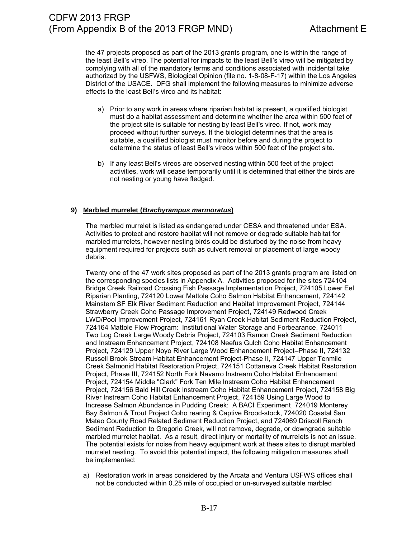the 47 projects proposed as part of the 2013 grants program, one is within the range of the least Bell's vireo. The potential for impacts to the least Bell's vireo will be mitigated by complying with all of the mandatory terms and conditions associated with incidental take authorized by the USFWS, Biological Opinion (file no. 1-8-08-F-17) within the Los Angeles District of the USACE. DFG shall implement the following measures to minimize adverse effects to the least Bell's vireo and its habitat:

- a) Prior to any work in areas where riparian habitat is present, a qualified biologist must do a habitat assessment and determine whether the area within 500 feet of the project site is suitable for nesting by least Bell's vireo. If not, work may proceed without further surveys. If the biologist determines that the area is suitable, a qualified biologist must monitor before and during the project to determine the status of least Bell's vireos within 500 feet of the project site.
- b) If any least Bell's vireos are observed nesting within 500 feet of the project activities, work will cease temporarily until it is determined that either the birds are not nesting or young have fledged.

#### **9) Marbled murrelet (***Brachyrampus marmoratus***)**

The marbled murrelet is listed as endangered under CESA and threatened under ESA. Activities to protect and restore habitat will not remove or degrade suitable habitat for marbled murrelets, however nesting birds could be disturbed by the noise from heavy equipment required for projects such as culvert removal or placement of large woody debris.

Twenty one of the 47 work sites proposed as part of the 2013 grants program are listed on the corresponding species lists in Appendix A. Activities proposed for the sites 724104 Bridge Creek Railroad Crossing Fish Passage Implementation Project, 724105 Lower Eel Riparian Planting, 724120 Lower Mattole Coho Salmon Habitat Enhancement, 724142 Mainstem SF Elk River Sediment Reduction and Habitat Improvement Project, 724144 Strawberry Creek Coho Passage Improvement Project, 724149 Redwood Creek LWD/Pool Improvement Project, 724161 Ryan Creek Habitat Sediment Reduction Project, 724164 Mattole Flow Program: Institutional Water Storage and Forbearance, 724011 Two Log Creek Large Woody Debris Project, 724103 Ramon Creek Sediment Reduction and Instream Enhancement Project, 724108 Neefus Gulch Coho Habitat Enhancement Project, 724129 Upper Noyo River Large Wood Enhancement Project–Phase II, 724132 Russell Brook Stream Habitat Enhancement Project-Phase II, 724147 Upper Tenmile Creek Salmonid Habitat Restoration Project, 724151 Cottaneva Creek Habitat Restoration Project, Phase III, 724152 North Fork Navarro Instream Coho Habitat Enhancement Project, 724154 Middle "Clark" Fork Ten Mile Instream Coho Habitat Enhancement Project, 724156 Bald Hill Creek Instream Coho Habitat Enhancement Project, 724158 Big River Instream Coho Habitat Enhancement Project, 724159 Using Large Wood to Increase Salmon Abundance in Pudding Creek: A BACI Experiment, 724019 Monterey Bay Salmon & Trout Project Coho rearing & Captive Brood-stock, 724020 Coastal San Mateo County Road Related Sediment Reduction Project, and 724069 Driscoll Ranch Sediment Reduction to Gregorio Creek, will not remove, degrade, or downgrade suitable marbled murrelet habitat. As a result, direct injury or mortality of murrelets is not an issue. The potential exists for noise from heavy equipment work at these sites to disrupt marbled murrelet nesting. To avoid this potential impact, the following mitigation measures shall be implemented:

a) Restoration work in areas considered by the Arcata and Ventura USFWS offices shall not be conducted within 0.25 mile of occupied or un-surveyed suitable marbled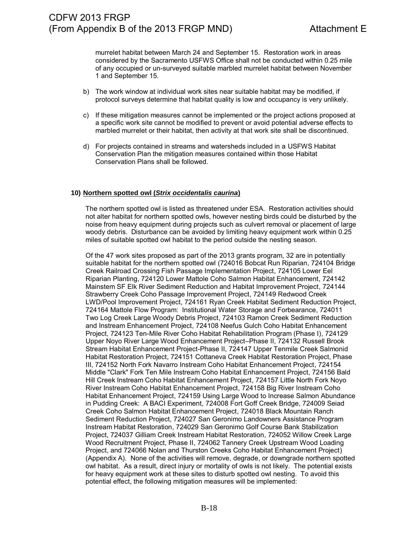murrelet habitat between March 24 and September 15. Restoration work in areas considered by the Sacramento USFWS Office shall not be conducted within 0.25 mile of any occupied or un-surveyed suitable marbled murrelet habitat between November 1 and September 15.

- b) The work window at individual work sites near suitable habitat may be modified, if protocol surveys determine that habitat quality is low and occupancy is very unlikely.
- c) If these mitigation measures cannot be implemented or the project actions proposed at a specific work site cannot be modified to prevent or avoid potential adverse effects to marbled murrelet or their habitat, then activity at that work site shall be discontinued.
- d) For projects contained in streams and watersheds included in a USFWS Habitat Conservation Plan the mitigation measures contained within those Habitat Conservation Plans shall be followed.

#### **10) Northern spotted owl (***Strix occidentalis caurina***)**

The northern spotted owl is listed as threatened under ESA. Restoration activities should not alter habitat for northern spotted owls, however nesting birds could be disturbed by the noise from heavy equipment during projects such as culvert removal or placement of large woody debris. Disturbance can be avoided by limiting heavy equipment work within 0.25 miles of suitable spotted owl habitat to the period outside the nesting season.

Of the 47 work sites proposed as part of the 2013 grants program, 32 are in potentially suitable habitat for the northern spotted owl (724016 Bobcat Run Riparian, 724104 Bridge Creek Railroad Crossing Fish Passage Implementation Project, 724105 Lower Eel Riparian Planting, 724120 Lower Mattole Coho Salmon Habitat Enhancement, 724142 Mainstem SF Elk River Sediment Reduction and Habitat Improvement Project, 724144 Strawberry Creek Coho Passage Improvement Project, 724149 Redwood Creek LWD/Pool Improvement Project, 724161 Ryan Creek Habitat Sediment Reduction Project, 724164 Mattole Flow Program: Institutional Water Storage and Forbearance, 724011 Two Log Creek Large Woody Debris Project, 724103 Ramon Creek Sediment Reduction and Instream Enhancement Project, 724108 Neefus Gulch Coho Habitat Enhancement Project, 724123 Ten-Mile River Coho Habitat Rehabilitation Program (Phase I), 724129 Upper Noyo River Large Wood Enhancement Project–Phase II, 724132 Russell Brook Stream Habitat Enhancement Project-Phase II, 724147 Upper Tenmile Creek Salmonid Habitat Restoration Project, 724151 Cottaneva Creek Habitat Restoration Project, Phase III, 724152 North Fork Navarro Instream Coho Habitat Enhancement Project, 724154 Middle "Clark" Fork Ten Mile Instream Coho Habitat Enhancement Project, 724156 Bald Hill Creek Instream Coho Habitat Enhancement Project, 724157 Little North Fork Noyo River Instream Coho Habitat Enhancement Project, 724158 Big River Instream Coho Habitat Enhancement Project, 724159 Using Large Wood to Increase Salmon Abundance in Pudding Creek: A BACI Experiment, 724008 Fort Goff Creek Bridge, 724009 Seiad Creek Coho Salmon Habitat Enhancement Project, 724018 Black Mountain Ranch Sediment Reduction Project, 724027 San Geronimo Landowners Assistance Program Instream Habitat Restoration, 724029 San Geronimo Golf Course Bank Stabilization Project, 724037 Gilliam Creek Instream Habitat Restoration, 724052 Willow Creek Large Wood Recruitment Project, Phase II, 724062 Tannery Creek Upstream Wood Loading Project, and 724066 Nolan and Thurston Creeks Coho Habitat Enhancement Project) (Appendix A). None of the activities will remove, degrade, or downgrade northern spotted owl habitat. As a result, direct injury or mortality of owls is not likely. The potential exists for heavy equipment work at these sites to disturb spotted owl nesting. To avoid this potential effect, the following mitigation measures will be implemented: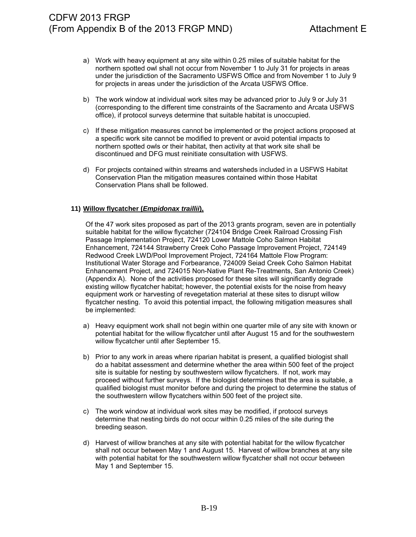- a) Work with heavy equipment at any site within 0.25 miles of suitable habitat for the northern spotted owl shall not occur from November 1 to July 31 for projects in areas under the jurisdiction of the Sacramento USFWS Office and from November 1 to July 9 for projects in areas under the jurisdiction of the Arcata USFWS Office.
- b) The work window at individual work sites may be advanced prior to July 9 or July 31 (corresponding to the different time constraints of the Sacramento and Arcata USFWS office), if protocol surveys determine that suitable habitat is unoccupied.
- c) If these mitigation measures cannot be implemented or the project actions proposed at a specific work site cannot be modified to prevent or avoid potential impacts to northern spotted owls or their habitat, then activity at that work site shall be discontinued and DFG must reinitiate consultation with USFWS.
- d) For projects contained within streams and watersheds included in a USFWS Habitat Conservation Plan the mitigation measures contained within those Habitat Conservation Plans shall be followed.

#### **11) Willow flycatcher (***Empidonax traillii***),**

Of the 47 work sites proposed as part of the 2013 grants program, seven are in potentially suitable habitat for the willow flycatcher (724104 Bridge Creek Railroad Crossing Fish Passage Implementation Project, 724120 Lower Mattole Coho Salmon Habitat Enhancement, 724144 Strawberry Creek Coho Passage Improvement Project, 724149 Redwood Creek LWD/Pool Improvement Project, 724164 Mattole Flow Program: Institutional Water Storage and Forbearance, 724009 Seiad Creek Coho Salmon Habitat Enhancement Project, and 724015 Non-Native Plant Re-Treatments, San Antonio Creek) (Appendix A). None of the activities proposed for these sites will significantly degrade existing willow flycatcher habitat; however, the potential exists for the noise from heavy equipment work or harvesting of revegetation material at these sites to disrupt willow flycatcher nesting. To avoid this potential impact, the following mitigation measures shall be implemented:

- a) Heavy equipment work shall not begin within one quarter mile of any site with known or potential habitat for the willow flycatcher until after August 15 and for the southwestern willow flycatcher until after September 15.
- b) Prior to any work in areas where riparian habitat is present, a qualified biologist shall do a habitat assessment and determine whether the area within 500 feet of the project site is suitable for nesting by southwestern willow flycatchers. If not, work may proceed without further surveys. If the biologist determines that the area is suitable, a qualified biologist must monitor before and during the project to determine the status of the southwestern willow flycatchers within 500 feet of the project site.
- c) The work window at individual work sites may be modified, if protocol surveys determine that nesting birds do not occur within 0.25 miles of the site during the breeding season.
- d) Harvest of willow branches at any site with potential habitat for the willow flycatcher shall not occur between May 1 and August 15. Harvest of willow branches at any site with potential habitat for the southwestern willow flycatcher shall not occur between May 1 and September 15.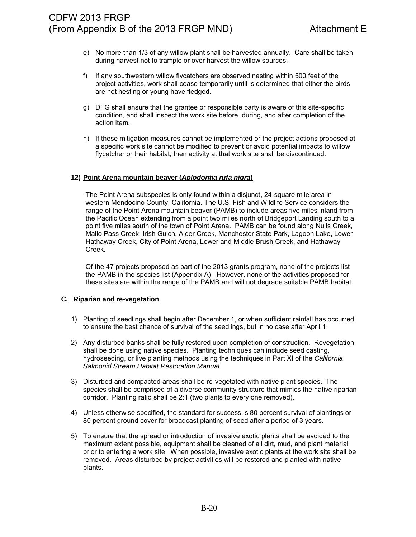- e) No more than 1/3 of any willow plant shall be harvested annually. Care shall be taken during harvest not to trample or over harvest the willow sources.
- f) If any southwestern willow flycatchers are observed nesting within 500 feet of the project activities, work shall cease temporarily until is determined that either the birds are not nesting or young have fledged.
- g) DFG shall ensure that the grantee or responsible party is aware of this site-specific condition, and shall inspect the work site before, during, and after completion of the action item.
- h) If these mitigation measures cannot be implemented or the project actions proposed at a specific work site cannot be modified to prevent or avoid potential impacts to willow flycatcher or their habitat, then activity at that work site shall be discontinued.

#### **12) Point Arena mountain beaver (***Aplodontia rufa nigra***)**

The Point Arena subspecies is only found within a disjunct, 24-square mile area in western Mendocino County, California. The U.S. Fish and Wildlife Service considers the range of the Point Arena mountain beaver (PAMB) to include areas five miles inland from the Pacific Ocean extending from a point two miles north of Bridgeport Landing south to a point five miles south of the town of Point Arena. PAMB can be found along Nulls Creek, Mallo Pass Creek, Irish Gulch, Alder Creek, Manchester State Park, Lagoon Lake, Lower Hathaway Creek, City of Point Arena, Lower and Middle Brush Creek, and Hathaway Creek.

Of the 47 projects proposed as part of the 2013 grants program, none of the projects list the PAMB in the species list (Appendix A). However, none of the activities proposed for these sites are within the range of the PAMB and will not degrade suitable PAMB habitat.

#### **C. Riparian and re-vegetation**

- 1) Planting of seedlings shall begin after December 1, or when sufficient rainfall has occurred to ensure the best chance of survival of the seedlings, but in no case after April 1.
- 2) Any disturbed banks shall be fully restored upon completion of construction. Revegetation shall be done using native species. Planting techniques can include seed casting, hydroseeding, or live planting methods using the techniques in Part XI of the *California Salmonid Stream Habitat Restoration Manual*.
- 3) Disturbed and compacted areas shall be re-vegetated with native plant species. The species shall be comprised of a diverse community structure that mimics the native riparian corridor. Planting ratio shall be 2:1 (two plants to every one removed).
- 4) Unless otherwise specified, the standard for success is 80 percent survival of plantings or 80 percent ground cover for broadcast planting of seed after a period of 3 years.
- 5) To ensure that the spread or introduction of invasive exotic plants shall be avoided to the maximum extent possible, equipment shall be cleaned of all dirt, mud, and plant material prior to entering a work site. When possible, invasive exotic plants at the work site shall be removed. Areas disturbed by project activities will be restored and planted with native plants.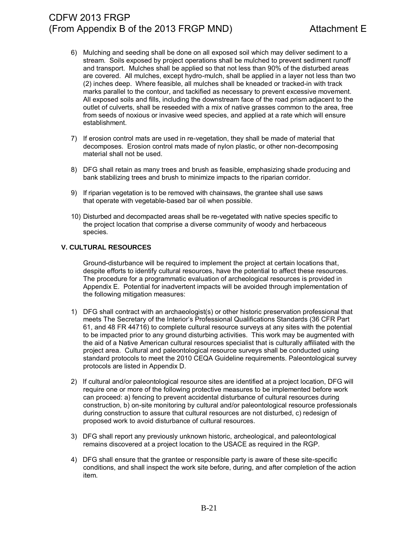- 6) Mulching and seeding shall be done on all exposed soil which may deliver sediment to a stream. Soils exposed by project operations shall be mulched to prevent sediment runoff and transport. Mulches shall be applied so that not less than 90% of the disturbed areas are covered. All mulches, except hydro-mulch, shall be applied in a layer not less than two (2) inches deep. Where feasible, all mulches shall be kneaded or tracked-in with track marks parallel to the contour, and tackified as necessary to prevent excessive movement. All exposed soils and fills, including the downstream face of the road prism adjacent to the outlet of culverts, shall be reseeded with a mix of native grasses common to the area, free from seeds of noxious or invasive weed species, and applied at a rate which will ensure establishment.
- 7) If erosion control mats are used in re-vegetation, they shall be made of material that decomposes. Erosion control mats made of nylon plastic, or other non-decomposing material shall not be used.
- 8) DFG shall retain as many trees and brush as feasible, emphasizing shade producing and bank stabilizing trees and brush to minimize impacts to the riparian corridor.
- 9) If riparian vegetation is to be removed with chainsaws, the grantee shall use saws that operate with vegetable-based bar oil when possible.
- 10) Disturbed and decompacted areas shall be re-vegetated with native species specific to the project location that comprise a diverse community of woody and herbaceous species.

### **V. CULTURAL RESOURCES**

Ground-disturbance will be required to implement the project at certain locations that, despite efforts to identify cultural resources, have the potential to affect these resources. The procedure for a programmatic evaluation of archeological resources is provided in Appendix E. Potential for inadvertent impacts will be avoided through implementation of the following mitigation measures:

- 1) DFG shall contract with an archaeologist(s) or other historic preservation professional that meets The Secretary of the Interior's Professional Qualifications Standards (36 CFR Part 61, and 48 FR 44716) to complete cultural resource surveys at any sites with the potential to be impacted prior to any ground disturbing activities. This work may be augmented with the aid of a Native American cultural resources specialist that is culturally affiliated with the project area. Cultural and paleontological resource surveys shall be conducted using standard protocols to meet the 2010 CEQA Guideline requirements. Paleontological survey protocols are listed in Appendix D.
- 2) If cultural and/or paleontological resource sites are identified at a project location, DFG will require one or more of the following protective measures to be implemented before work can proceed: a) fencing to prevent accidental disturbance of cultural resources during construction, b) on-site monitoring by cultural and/or paleontological resource professionals during construction to assure that cultural resources are not disturbed, c) redesign of proposed work to avoid disturbance of cultural resources.
- 3) DFG shall report any previously unknown historic, archeological, and paleontological remains discovered at a project location to the USACE as required in the RGP.
- 4) DFG shall ensure that the grantee or responsible party is aware of these site-specific conditions, and shall inspect the work site before, during, and after completion of the action item.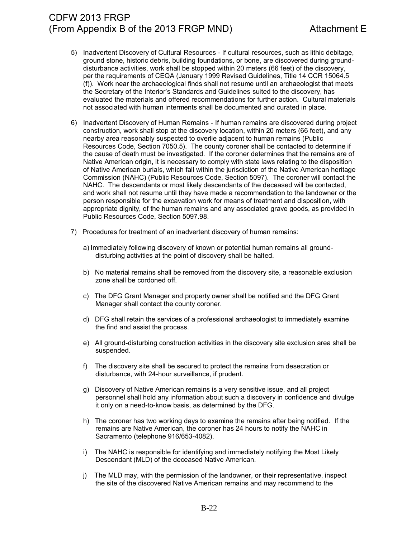- 5) Inadvertent Discovery of Cultural Resources If cultural resources, such as lithic debitage, ground stone, historic debris, building foundations, or bone, are discovered during grounddisturbance activities, work shall be stopped within 20 meters (66 feet) of the discovery, per the requirements of CEQA (January 1999 Revised Guidelines, Title 14 CCR 15064.5 (f)). Work near the archaeological finds shall not resume until an archaeologist that meets the Secretary of the Interior's Standards and Guidelines suited to the discovery, has evaluated the materials and offered recommendations for further action. Cultural materials not associated with human interments shall be documented and curated in place.
- 6) Inadvertent Discovery of Human Remains If human remains are discovered during project construction, work shall stop at the discovery location, within 20 meters (66 feet), and any nearby area reasonably suspected to overlie adjacent to human remains (Public Resources Code, Section 7050.5). The county coroner shall be contacted to determine if the cause of death must be investigated. If the coroner determines that the remains are of Native American origin, it is necessary to comply with state laws relating to the disposition of Native American burials, which fall within the jurisdiction of the Native American heritage Commission (NAHC) (Public Resources Code, Section 5097). The coroner will contact the NAHC. The descendants or most likely descendants of the deceased will be contacted, and work shall not resume until they have made a recommendation to the landowner or the person responsible for the excavation work for means of treatment and disposition, with appropriate dignity, of the human remains and any associated grave goods, as provided in Public Resources Code, Section 5097.98.
- 7) Procedures for treatment of an inadvertent discovery of human remains:
	- a) Immediately following discovery of known or potential human remains all grounddisturbing activities at the point of discovery shall be halted.
	- b) No material remains shall be removed from the discovery site, a reasonable exclusion zone shall be cordoned off.
	- c) The DFG Grant Manager and property owner shall be notified and the DFG Grant Manager shall contact the county coroner.
	- d) DFG shall retain the services of a professional archaeologist to immediately examine the find and assist the process.
	- e) All ground-disturbing construction activities in the discovery site exclusion area shall be suspended.
	- f) The discovery site shall be secured to protect the remains from desecration or disturbance, with 24-hour surveillance, if prudent.
	- g) Discovery of Native American remains is a very sensitive issue, and all project personnel shall hold any information about such a discovery in confidence and divulge it only on a need-to-know basis, as determined by the DFG.
	- h) The coroner has two working days to examine the remains after being notified. If the remains are Native American, the coroner has 24 hours to notify the NAHC in Sacramento (telephone 916/653-4082).
	- i) The NAHC is responsible for identifying and immediately notifying the Most Likely Descendant (MLD) of the deceased Native American.
	- j) The MLD may, with the permission of the landowner, or their representative, inspect the site of the discovered Native American remains and may recommend to the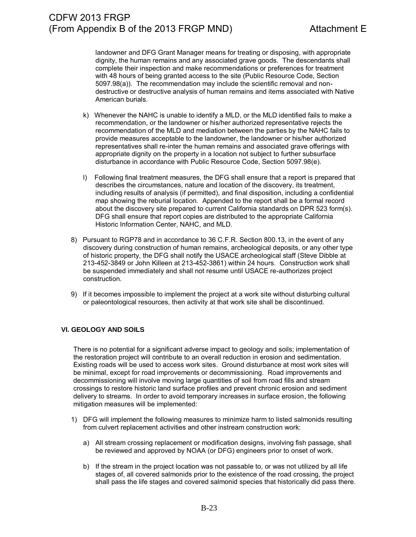landowner and DFG Grant Manager means for treating or disposing, with appropriate dignity, the human remains and any associated grave goods. The descendants shall complete their inspection and make recommendations or preferences for treatment with 48 hours of being granted access to the site (Public Resource Code, Section 5097.98(a)). The recommendation may include the scientific removal and nondestructive or destructive analysis of human remains and items associated with Native American burials.

- k) Whenever the NAHC is unable to identify a MLD, or the MLD identified fails to make a recommendation, or the landowner or his/her authorized representative rejects the recommendation of the MLD and mediation between the parties by the NAHC fails to provide measures acceptable to the landowner, the landowner or his/her authorized representatives shall re-inter the human remains and associated grave offerings with appropriate dignity on the property in a location not subject to further subsurface disturbance in accordance with Public Resource Code, Section 5097.98(e).
- l) Following final treatment measures, the DFG shall ensure that a report is prepared that describes the circumstances, nature and location of the discovery, its treatment, including results of analysis (if permitted), and final disposition, including a confidential map showing the reburial location. Appended to the report shall be a formal record about the discovery site prepared to current California standards on DPR 523 form(s). DFG shall ensure that report copies are distributed to the appropriate California Historic Information Center, NAHC, and MLD.
- 8) Pursuant to RGP78 and in accordance to 36 C.F.R. Section 800.13, in the event of any discovery during construction of human remains, archeological deposits, or any other type of historic property, the DFG shall notify the USACE archeological staff (Steve Dibble at 213-452-3849 or John Killeen at 213-452-3861) within 24 hours. Construction work shall be suspended immediately and shall not resume until USACE re-authorizes project construction.
- 9) If it becomes impossible to implement the project at a work site without disturbing cultural or paleontological resources, then activity at that work site shall be discontinued.

### **VI. GEOLOGY AND SOILS**

There is no potential for a significant adverse impact to geology and soils; implementation of the restoration project will contribute to an overall reduction in erosion and sedimentation. Existing roads will be used to access work sites. Ground disturbance at most work sites will be minimal, except for road improvements or decommissioning. Road improvements and decommissioning will involve moving large quantities of soil from road fills and stream crossings to restore historic land surface profiles and prevent chronic erosion and sediment delivery to streams. In order to avoid temporary increases in surface erosion, the following mitigation measures will be implemented:

- 1) DFG will implement the following measures to minimize harm to listed salmonids resulting from culvert replacement activities and other instream construction work:
	- a) All stream crossing replacement or modification designs, involving fish passage, shall be reviewed and approved by NOAA (or DFG) engineers prior to onset of work.
	- b) If the stream in the project location was not passable to, or was not utilized by all life stages of, all covered salmonids prior to the existence of the road crossing, the project shall pass the life stages and covered salmonid species that historically did pass there.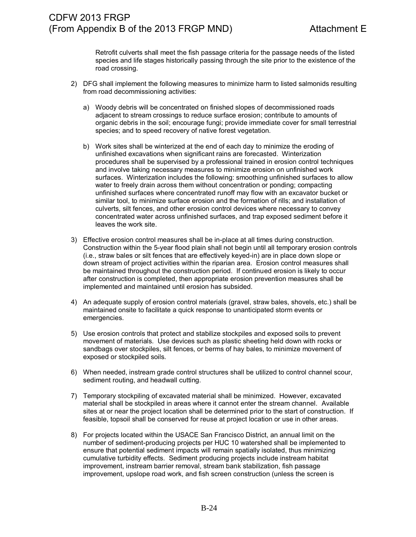Retrofit culverts shall meet the fish passage criteria for the passage needs of the listed species and life stages historically passing through the site prior to the existence of the road crossing.

- 2) DFG shall implement the following measures to minimize harm to listed salmonids resulting from road decommissioning activities:
	- a) Woody debris will be concentrated on finished slopes of decommissioned roads adjacent to stream crossings to reduce surface erosion; contribute to amounts of organic debris in the soil; encourage fungi; provide immediate cover for small terrestrial species; and to speed recovery of native forest vegetation.
	- b) Work sites shall be winterized at the end of each day to minimize the eroding of unfinished excavations when significant rains are forecasted. Winterization procedures shall be supervised by a professional trained in erosion control techniques and involve taking necessary measures to minimize erosion on unfinished work surfaces. Winterization includes the following: smoothing unfinished surfaces to allow water to freely drain across them without concentration or ponding; compacting unfinished surfaces where concentrated runoff may flow with an excavator bucket or similar tool, to minimize surface erosion and the formation of rills; and installation of culverts, silt fences, and other erosion control devices where necessary to convey concentrated water across unfinished surfaces, and trap exposed sediment before it leaves the work site.
- 3) Effective erosion control measures shall be in-place at all times during construction. Construction within the 5-year flood plain shall not begin until all temporary erosion controls (i.e., straw bales or silt fences that are effectively keyed-in) are in place down slope or down stream of project activities within the riparian area. Erosion control measures shall be maintained throughout the construction period. If continued erosion is likely to occur after construction is completed, then appropriate erosion prevention measures shall be implemented and maintained until erosion has subsided.
- 4) An adequate supply of erosion control materials (gravel, straw bales, shovels, etc.) shall be maintained onsite to facilitate a quick response to unanticipated storm events or emergencies.
- 5) Use erosion controls that protect and stabilize stockpiles and exposed soils to prevent movement of materials. Use devices such as plastic sheeting held down with rocks or sandbags over stockpiles, silt fences, or berms of hay bales, to minimize movement of exposed or stockpiled soils.
- 6) When needed, instream grade control structures shall be utilized to control channel scour, sediment routing, and headwall cutting.
- 7) Temporary stockpiling of excavated material shall be minimized. However, excavated material shall be stockpiled in areas where it cannot enter the stream channel. Available sites at or near the project location shall be determined prior to the start of construction. If feasible, topsoil shall be conserved for reuse at project location or use in other areas.
- 8) For projects located within the USACE San Francisco District, an annual limit on the number of sediment-producing projects per HUC 10 watershed shall be implemented to ensure that potential sediment impacts will remain spatially isolated, thus minimizing cumulative turbidity effects. Sediment producing projects include instream habitat improvement, instream barrier removal, stream bank stabilization, fish passage improvement, upslope road work, and fish screen construction (unless the screen is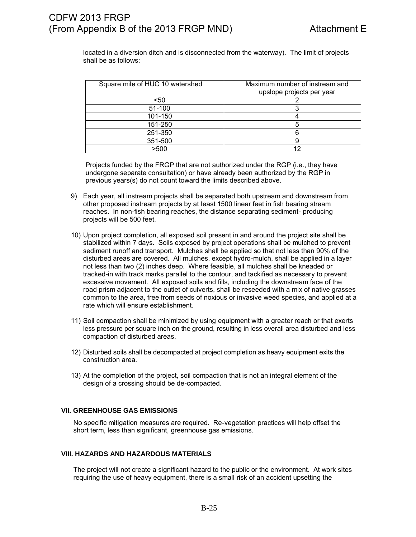located in a diversion ditch and is disconnected from the waterway). The limit of projects shall be as follows:

| Square mile of HUC 10 watershed | Maximum number of instream and<br>upslope projects per year |
|---------------------------------|-------------------------------------------------------------|
| $50$                            |                                                             |
| 51-100                          |                                                             |
| 101-150                         |                                                             |
| 151-250                         |                                                             |
| 251-350                         |                                                             |
| 351-500                         |                                                             |
| >500                            |                                                             |

Projects funded by the FRGP that are not authorized under the RGP (i.e., they have undergone separate consultation) or have already been authorized by the RGP in previous years(s) do not count toward the limits described above.

- 9) Each year, all instream projects shall be separated both upstream and downstream from other proposed instream projects by at least 1500 linear feet in fish bearing stream reaches. In non-fish bearing reaches, the distance separating sediment- producing projects will be 500 feet.
- 10) Upon project completion, all exposed soil present in and around the project site shall be stabilized within 7 days. Soils exposed by project operations shall be mulched to prevent sediment runoff and transport. Mulches shall be applied so that not less than 90% of the disturbed areas are covered. All mulches, except hydro-mulch, shall be applied in a layer not less than two (2) inches deep. Where feasible, all mulches shall be kneaded or tracked-in with track marks parallel to the contour, and tackified as necessary to prevent excessive movement. All exposed soils and fills, including the downstream face of the road prism adjacent to the outlet of culverts, shall be reseeded with a mix of native grasses common to the area, free from seeds of noxious or invasive weed species, and applied at a rate which will ensure establishment.
- 11) Soil compaction shall be minimized by using equipment with a greater reach or that exerts less pressure per square inch on the ground, resulting in less overall area disturbed and less compaction of disturbed areas.
- 12) Disturbed soils shall be decompacted at project completion as heavy equipment exits the construction area.
- 13) At the completion of the project, soil compaction that is not an integral element of the design of a crossing should be de-compacted.

### **VII. GREENHOUSE GAS EMISSIONS**

No specific mitigation measures are required. Re-vegetation practices will help offset the short term, less than significant, greenhouse gas emissions.

#### **VIII. HAZARDS AND HAZARDOUS MATERIALS**

The project will not create a significant hazard to the public or the environment. At work sites requiring the use of heavy equipment, there is a small risk of an accident upsetting the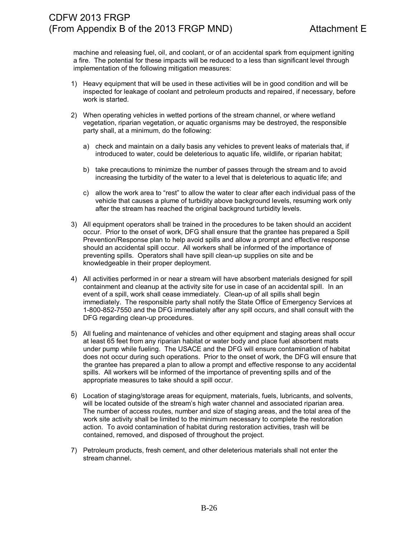machine and releasing fuel, oil, and coolant, or of an accidental spark from equipment igniting a fire. The potential for these impacts will be reduced to a less than significant level through implementation of the following mitigation measures:

- 1) Heavy equipment that will be used in these activities will be in good condition and will be inspected for leakage of coolant and petroleum products and repaired, if necessary, before work is started.
- 2) When operating vehicles in wetted portions of the stream channel, or where wetland vegetation, riparian vegetation, or aquatic organisms may be destroyed, the responsible party shall, at a minimum, do the following:
	- a) check and maintain on a daily basis any vehicles to prevent leaks of materials that, if introduced to water, could be deleterious to aquatic life, wildlife, or riparian habitat;
	- b) take precautions to minimize the number of passes through the stream and to avoid increasing the turbidity of the water to a level that is deleterious to aquatic life; and
	- c) allow the work area to "rest" to allow the water to clear after each individual pass of the vehicle that causes a plume of turbidity above background levels, resuming work only after the stream has reached the original background turbidity levels.
- 3) All equipment operators shall be trained in the procedures to be taken should an accident occur. Prior to the onset of work, DFG shall ensure that the grantee has prepared a Spill Prevention/Response plan to help avoid spills and allow a prompt and effective response should an accidental spill occur. All workers shall be informed of the importance of preventing spills. Operators shall have spill clean-up supplies on site and be knowledgeable in their proper deployment.
- 4) All activities performed in or near a stream will have absorbent materials designed for spill containment and cleanup at the activity site for use in case of an accidental spill. In an event of a spill, work shall cease immediately. Clean-up of all spills shall begin immediately. The responsible party shall notify the State Office of Emergency Services at 1-800-852-7550 and the DFG immediately after any spill occurs, and shall consult with the DFG regarding clean-up procedures.
- 5) All fueling and maintenance of vehicles and other equipment and staging areas shall occur at least 65 feet from any riparian habitat or water body and place fuel absorbent mats under pump while fueling. The USACE and the DFG will ensure contamination of habitat does not occur during such operations. Prior to the onset of work, the DFG will ensure that the grantee has prepared a plan to allow a prompt and effective response to any accidental spills. All workers will be informed of the importance of preventing spills and of the appropriate measures to take should a spill occur.
- 6) Location of staging/storage areas for equipment, materials, fuels, lubricants, and solvents, will be located outside of the stream's high water channel and associated riparian area. The number of access routes, number and size of staging areas, and the total area of the work site activity shall be limited to the minimum necessary to complete the restoration action. To avoid contamination of habitat during restoration activities, trash will be contained, removed, and disposed of throughout the project.
- 7) Petroleum products, fresh cement, and other deleterious materials shall not enter the stream channel.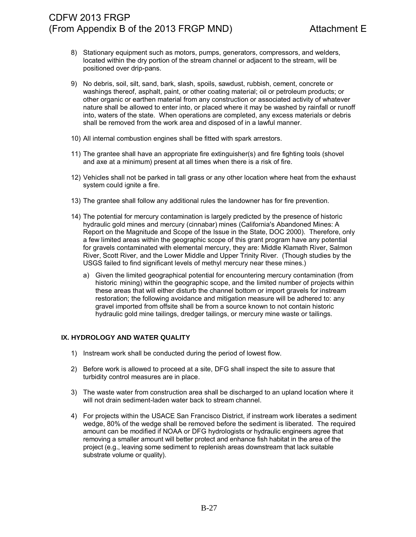- 8) Stationary equipment such as motors, pumps, generators, compressors, and welders, located within the dry portion of the stream channel or adjacent to the stream, will be positioned over drip-pans.
- 9) No debris, soil, silt, sand, bark, slash, spoils, sawdust, rubbish, cement, concrete or washings thereof, asphalt, paint, or other coating material; oil or petroleum products; or other organic or earthen material from any construction or associated activity of whatever nature shall be allowed to enter into, or placed where it may be washed by rainfall or runoff into, waters of the state. When operations are completed, any excess materials or debris shall be removed from the work area and disposed of in a lawful manner.
- 10) All internal combustion engines shall be fitted with spark arrestors.
- 11) The grantee shall have an appropriate fire extinguisher(s) and fire fighting tools (shovel and axe at a minimum) present at all times when there is a risk of fire.
- 12) Vehicles shall not be parked in tall grass or any other location where heat from the exhaust system could ignite a fire.
- 13) The grantee shall follow any additional rules the landowner has for fire prevention.
- 14) The potential for mercury contamination is largely predicted by the presence of historic hydraulic gold mines and mercury (cinnabar) mines (California's Abandoned Mines: A Report on the Magnitude and Scope of the Issue in the State, DOC 2000). Therefore, only a few limited areas within the geographic scope of this grant program have any potential for gravels contaminated with elemental mercury, they are: Middle Klamath River, Salmon River, Scott River, and the Lower Middle and Upper Trinity River. (Though studies by the USGS failed to find significant levels of methyl mercury near these mines.)
	- a) Given the limited geographical potential for encountering mercury contamination (from historic mining) within the geographic scope, and the limited number of projects within these areas that will either disturb the channel bottom or import gravels for instream restoration; the following avoidance and mitigation measure will be adhered to: any gravel imported from offsite shall be from a source known to not contain historic hydraulic gold mine tailings, dredger tailings, or mercury mine waste or tailings.

## **IX. HYDROLOGY AND WATER QUALITY**

- 1) Instream work shall be conducted during the period of lowest flow.
- 2) Before work is allowed to proceed at a site, DFG shall inspect the site to assure that turbidity control measures are in place.
- 3) The waste water from construction area shall be discharged to an upland location where it will not drain sediment-laden water back to stream channel.
- 4) For projects within the USACE San Francisco District, if instream work liberates a sediment wedge, 80% of the wedge shall be removed before the sediment is liberated. The required amount can be modified if NOAA or DFG hydrologists or hydraulic engineers agree that removing a smaller amount will better protect and enhance fish habitat in the area of the project (e.g., leaving some sediment to replenish areas downstream that lack suitable substrate volume or quality).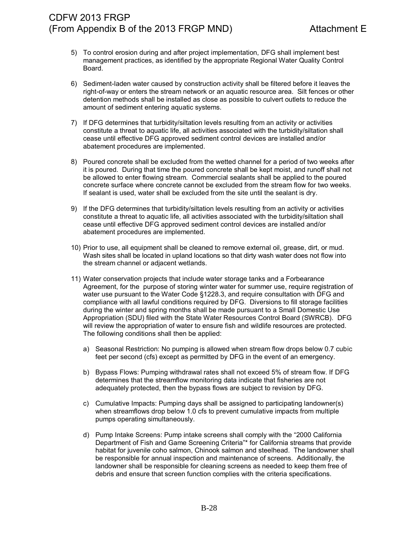- 5) To control erosion during and after project implementation, DFG shall implement best management practices, as identified by the appropriate Regional Water Quality Control Board.
- 6) Sediment-laden water caused by construction activity shall be filtered before it leaves the right-of-way or enters the stream network or an aquatic resource area. Silt fences or other detention methods shall be installed as close as possible to culvert outlets to reduce the amount of sediment entering aquatic systems.
- 7) If DFG determines that turbidity/siltation levels resulting from an activity or activities constitute a threat to aquatic life, all activities associated with the turbidity/siltation shall cease until effective DFG approved sediment control devices are installed and/or abatement procedures are implemented.
- 8) Poured concrete shall be excluded from the wetted channel for a period of two weeks after it is poured. During that time the poured concrete shall be kept moist, and runoff shall not be allowed to enter flowing stream. Commercial sealants shall be applied to the poured concrete surface where concrete cannot be excluded from the stream flow for two weeks. If sealant is used, water shall be excluded from the site until the sealant is dry.
- 9) If the DFG determines that turbidity/siltation levels resulting from an activity or activities constitute a threat to aquatic life, all activities associated with the turbidity/siltation shall cease until effective DFG approved sediment control devices are installed and/or abatement procedures are implemented.
- 10) Prior to use, all equipment shall be cleaned to remove external oil, grease, dirt, or mud. Wash sites shall be located in upland locations so that dirty wash water does not flow into the stream channel or adjacent wetlands.
- 11) Water conservation projects that include water storage tanks and a Forbearance Agreement, for the purpose of storing winter water for summer use, require registration of water use pursuant to the Water Code §1228.3, and require consultation with DFG and compliance with all lawful conditions required by DFG. Diversions to fill storage facilities during the winter and spring months shall be made pursuant to a Small Domestic Use Appropriation (SDU) filed with the State Water Resources Control Board (SWRCB). DFG will review the appropriation of water to ensure fish and wildlife resources are protected. The following conditions shall then be applied:
	- a) Seasonal Restriction: No pumping is allowed when stream flow drops below 0.7 cubic feet per second (cfs) except as permitted by DFG in the event of an emergency.
	- b) Bypass Flows: Pumping withdrawal rates shall not exceed 5% of stream flow. If DFG determines that the streamflow monitoring data indicate that fisheries are not adequately protected, then the bypass flows are subject to revision by DFG.
	- c) Cumulative Impacts: Pumping days shall be assigned to participating landowner(s) when streamflows drop below 1.0 cfs to prevent cumulative impacts from multiple pumps operating simultaneously.
	- d) Pump Intake Screens: Pump intake screens shall comply with the "2000 California Department of Fish and Game Screening Criteria"\* for California streams that provide habitat for juvenile coho salmon, Chinook salmon and steelhead. The landowner shall be responsible for annual inspection and maintenance of screens. Additionally, the landowner shall be responsible for cleaning screens as needed to keep them free of debris and ensure that screen function complies with the criteria specifications.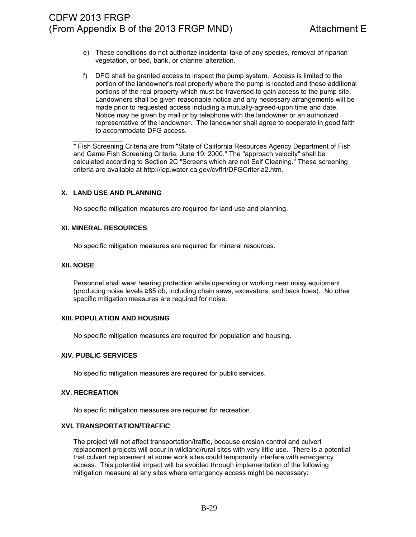- e) These conditions do not authorize incidental take of any species, removal of riparian vegetation, or bed, bank, or channel alteration.
- f) DFG shall be granted access to inspect the pump system. Access is limited to the portion of the landowner's real property where the pump is located and those additional portions of the real property which must be traversed to gain access to the pump site. Landowners shall be given reasonable notice and any necessary arrangements will be made prior to requested access including a mutually-agreed-upon time and date. Notice may be given by mail or by telephone with the landowner or an authorized representative of the landowner. The landowner shall agree to cooperate in good faith to accommodate DFG access.

 $\overline{\phantom{a}}$ \* Fish Screening Criteria are from "State of California Resources Agency Department of Fish and Game Fish Screening Criteria, June 19, 2000." The "approach velocity" shall be calculated according to Section 2C "Screens which are not Self Cleaning." These screening criteria are available at http://iep.water.ca.gov/cvffrt/DFGCriteria2.htm.

#### **X. LAND USE AND PLANNING**

No specific mitigation measures are required for land use and planning.

#### **XI. MINERAL RESOURCES**

No specific mitigation measures are required for mineral resources.

#### **XII. NOISE**

Personnel shall wear hearing protection while operating or working near noisy equipment (producing noise levels ≥85 db, including chain saws, excavators, and back hoes). No other specific mitigation measures are required for noise.

#### **XIII. POPULATION AND HOUSING**

No specific mitigation measures are required for population and housing.

#### **XIV. PUBLIC SERVICES**

No specific mitigation measures are required for public services.

#### **XV. RECREATION**

No specific mitigation measures are required for recreation.

### **XVI. TRANSPORTATION/TRAFFIC**

The project will not affect transportation/traffic, because erosion control and culvert replacement projects will occur in wildland/rural sites with very little use. There is a potential that culvert replacement at some work sites could temporarily interfere with emergency access. This potential impact will be avoided through implementation of the following mitigation measure at any sites where emergency access might be necessary: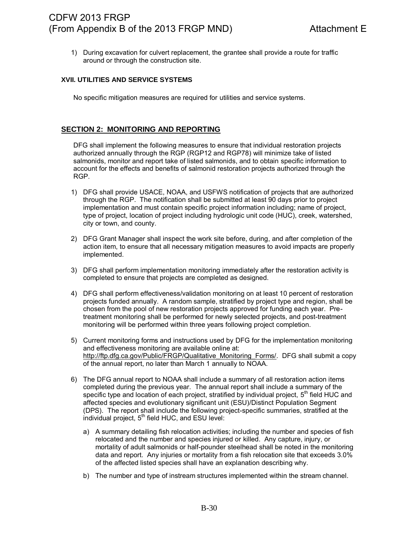1) During excavation for culvert replacement, the grantee shall provide a route for traffic around or through the construction site.

### **XVII. UTILITIES AND SERVICE SYSTEMS**

No specific mitigation measures are required for utilities and service systems.

# **SECTION 2: MONITORING AND REPORTING**

DFG shall implement the following measures to ensure that individual restoration projects authorized annually through the RGP (RGP12 and RGP78) will minimize take of listed salmonids, monitor and report take of listed salmonids, and to obtain specific information to account for the effects and benefits of salmonid restoration projects authorized through the RGP.

- 1) DFG shall provide USACE, NOAA, and USFWS notification of projects that are authorized through the RGP. The notification shall be submitted at least 90 days prior to project implementation and must contain specific project information including; name of project, type of project, location of project including hydrologic unit code (HUC), creek, watershed, city or town, and county.
- 2) DFG Grant Manager shall inspect the work site before, during, and after completion of the action item, to ensure that all necessary mitigation measures to avoid impacts are properly implemented.
- 3) DFG shall perform implementation monitoring immediately after the restoration activity is completed to ensure that projects are completed as designed.
- 4) DFG shall perform effectiveness/validation monitoring on at least 10 percent of restoration projects funded annually. A random sample, stratified by project type and region, shall be chosen from the pool of new restoration projects approved for funding each year. Pretreatment monitoring shall be performed for newly selected projects, and post-treatment monitoring will be performed within three years following project completion.
- 5) Current monitoring forms and instructions used by DFG for the implementation monitoring and effectiveness monitoring are available online at: [http://ftp.dfg.ca.gov/Public/FRGP/Qualitative\\_Monitoring\\_Forms/.](http://ftp.dfg.ca.gov/Public/FRGP/Qualitative_Monitoring_Forms/) DFG shall submit a copy of the annual report, no later than March 1 annually to NOAA.
- 6) The DFG annual report to NOAA shall include a summary of all restoration action items completed during the previous year. The annual report shall include a summary of the specific type and location of each project, stratified by individual project, 5<sup>th</sup> field HUC and affected species and evolutionary significant unit (ESU)/Distinct Population Segment (DPS). The report shall include the following project-specific summaries, stratified at the  $individual project, 5<sup>th</sup> field HUC, and ESU level:$ 
	- a) A summary detailing fish relocation activities; including the number and species of fish relocated and the number and species injured or killed. Any capture, injury, or mortality of adult salmonids or half-pounder steelhead shall be noted in the monitoring data and report. Any injuries or mortality from a fish relocation site that exceeds 3.0% of the affected listed species shall have an explanation describing why.
	- b) The number and type of instream structures implemented within the stream channel.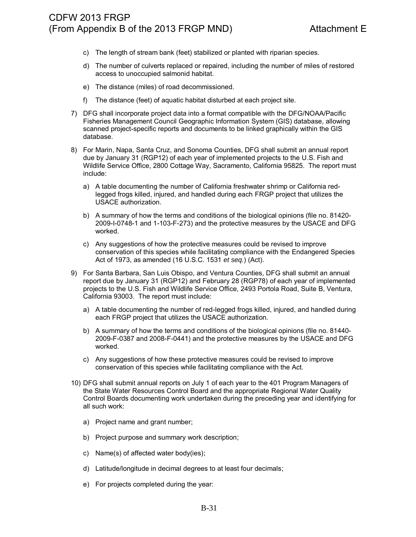- c) The length of stream bank (feet) stabilized or planted with riparian species.
- d) The number of culverts replaced or repaired, including the number of miles of restored access to unoccupied salmonid habitat.
- e) The distance (miles) of road decommissioned.
- f) The distance (feet) of aquatic habitat disturbed at each project site.
- 7) DFG shall incorporate project data into a format compatible with the DFG/NOAA/Pacific Fisheries Management Council Geographic Information System (GIS) database, allowing scanned project-specific reports and documents to be linked graphically within the GIS database.
- 8) For Marin, Napa, Santa Cruz, and Sonoma Counties, DFG shall submit an annual report due by January 31 (RGP12) of each year of implemented projects to the U.S. Fish and Wildlife Service Office, 2800 Cottage Way, Sacramento, California 95825. The report must include:
	- a) A table documenting the number of California freshwater shrimp or California redlegged frogs killed, injured, and handled during each FRGP project that utilizes the USACE authorization.
	- b) A summary of how the terms and conditions of the biological opinions (file no. 81420- 2009-I-0748-1 and 1-103-F-273) and the protective measures by the USACE and DFG worked.
	- c) Any suggestions of how the protective measures could be revised to improve conservation of this species while facilitating compliance with the Endangered Species Act of 1973, as amended (16 U.S.C. 1531 *et seq.*) (Act).
- 9) For Santa Barbara, San Luis Obispo, and Ventura Counties, DFG shall submit an annual report due by January 31 (RGP12) and February 28 (RGP78) of each year of implemented projects to the U.S. Fish and Wildlife Service Office, 2493 Portola Road, Suite B, Ventura, California 93003. The report must include:
	- a) A table documenting the number of red-legged frogs killed, injured, and handled during each FRGP project that utilizes the USACE authorization.
	- b) A summary of how the terms and conditions of the biological opinions (file no. 81440- 2009-F-0387 and 2008-F-0441) and the protective measures by the USACE and DFG worked.
	- c) Any suggestions of how these protective measures could be revised to improve conservation of this species while facilitating compliance with the Act.
- 10) DFG shall submit annual reports on July 1 of each year to the 401 Program Managers of the State Water Resources Control Board and the appropriate Regional Water Quality Control Boards documenting work undertaken during the preceding year and identifying for all such work:
	- a) Project name and grant number;
	- b) Project purpose and summary work description;
	- c) Name(s) of affected water body(ies);
	- d) Latitude/longitude in decimal degrees to at least four decimals;
	- e) For projects completed during the year: